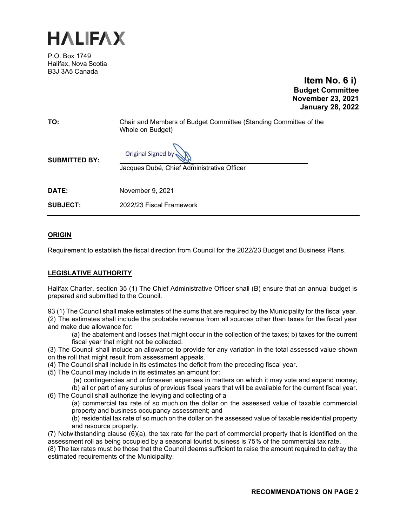

P.O. Box 1749 Halifax, Nova Scotia B3J 3A5 Canada

**Item No. 6 i) Budget Committee November 23, 2021 January 28, 2022**

**TO:** Chair and Members of Budget Committee (Standing Committee of the Whole on Budget)

**Original Signed by** 

**SUBMITTED BY:**

Jacques Dubé, Chief Administrative Officer

**DATE:** November 9, 2021

**SUBJECT:** 2022/23 Fiscal Framework

#### **ORIGIN**

Requirement to establish the fiscal direction from Council for the 2022/23 Budget and Business Plans.

#### **LEGISLATIVE AUTHORITY**

Halifax Charter, section 35 (1) The Chief Administrative Officer shall (B) ensure that an annual budget is prepared and submitted to the Council.

93 (1) The Council shall make estimates of the sums that are required by the Municipality for the fiscal year. (2) The estimates shall include the probable revenue from all sources other than taxes for the fiscal year and make due allowance for:

(a) the abatement and losses that might occur in the collection of the taxes; b) taxes for the current fiscal year that might not be collected.

(3) The Council shall include an allowance to provide for any variation in the total assessed value shown on the roll that might result from assessment appeals.

- (4) The Council shall include in its estimates the deficit from the preceding fiscal year.
- (5) The Council may include in its estimates an amount for:
	- (a) contingencies and unforeseen expenses in matters on which it may vote and expend money;

(b) all or part of any surplus of previous fiscal years that will be available for the current fiscal year. (6) The Council shall authorize the levying and collecting of a

(a) commercial tax rate of so much on the dollar on the assessed value of taxable commercial property and business occupancy assessment; and

(b) residential tax rate of so much on the dollar on the assessed value of taxable residential property and resource property.

(7) Notwithstanding clause (6)(a), the tax rate for the part of commercial property that is identified on the assessment roll as being occupied by a seasonal tourist business is 75% of the commercial tax rate.

(8) The tax rates must be those that the Council deems sufficient to raise the amount required to defray the estimated requirements of the Municipality.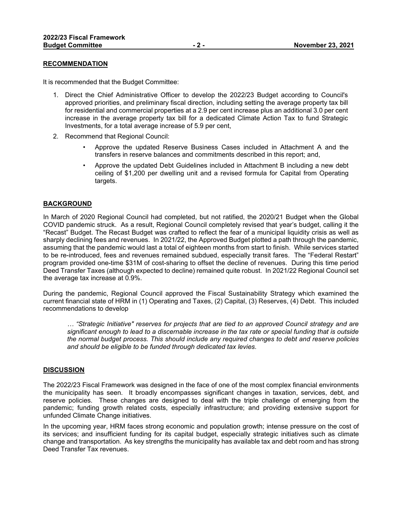#### **RECOMMENDATION**

It is recommended that the Budget Committee:

- 1. Direct the Chief Administrative Officer to develop the 2022/23 Budget according to Council's approved priorities, and preliminary fiscal direction, including setting the average property tax bill for residential and commercial properties at a 2.9 per cent increase plus an additional 3.0 per cent increase in the average property tax bill for a dedicated Climate Action Tax to fund Strategic Investments, for a total average increase of 5.9 per cent,
- 2. Recommend that Regional Council:
	- Approve the updated Reserve Business Cases included in Attachment A and the transfers in reserve balances and commitments described in this report; and,
	- Approve the updated Debt Guidelines included in Attachment B including a new debt ceiling of \$1,200 per dwelling unit and a revised formula for Capital from Operating targets.

#### **BACKGROUND**

In March of 2020 Regional Council had completed, but not ratified, the 2020/21 Budget when the Global COVID pandemic struck. As a result, Regional Council completely revised that year's budget, calling it the "Recast" Budget. The Recast Budget was crafted to reflect the fear of a municipal liquidity crisis as well as sharply declining fees and revenues. In 2021/22, the Approved Budget plotted a path through the pandemic, assuming that the pandemic would last a total of eighteen months from start to finish. While services started to be re-introduced, fees and revenues remained subdued, especially transit fares. The "Federal Restart" program provided one-time \$31M of cost-sharing to offset the decline of revenues. During this time period Deed Transfer Taxes (although expected to decline) remained quite robust. In 2021/22 Regional Council set the average tax increase at 0.9%.

During the pandemic, Regional Council approved the Fiscal Sustainability Strategy which examined the current financial state of HRM in (1) Operating and Taxes, (2) Capital, (3) Reserves, (4) Debt. This included recommendations to develop

*… "Strategic Initiative" reserves for projects that are tied to an approved Council strategy and are significant enough to lead to a discernable increase in the tax rate or special funding that is outside the normal budget process. This should include any required changes to debt and reserve policies and should be eligible to be funded through dedicated tax levies.*

#### **DISCUSSION**

The 2022/23 Fiscal Framework was designed in the face of one of the most complex financial environments the municipality has seen. It broadly encompasses significant changes in taxation, services, debt, and reserve policies. These changes are designed to deal with the triple challenge of emerging from the pandemic; funding growth related costs, especially infrastructure; and providing extensive support for unfunded Climate Change initiatives.

In the upcoming year, HRM faces strong economic and population growth; intense pressure on the cost of its services; and insufficient funding for its capital budget, especially strategic initiatives such as climate change and transportation. As key strengths the municipality has available tax and debt room and has strong Deed Transfer Tax revenues.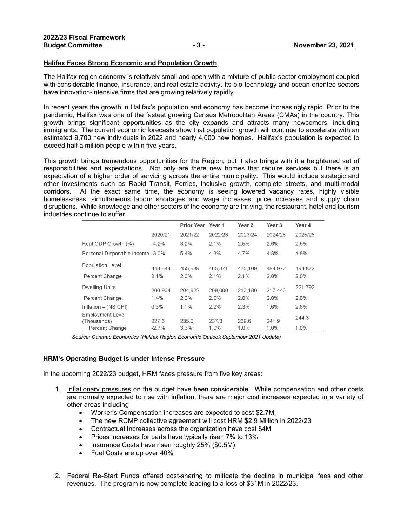#### **Halifax Faces Strong Economic and Population Growth**

The Halifax region economy is relatively small and open with a mixture of public-sector employment coupled with considerable finance, insurance, and real estate activity. Its bio-technology and ocean-oriented sectors have innovation-intensive firms that are growing relatively rapidly.

In recent years the growth in Halifax's population and economy has become increasingly rapid. Prior to the pandemic, Halifax was one of the fastest growing Census Metropolitan Areas (CMAs) in the country. This growth brings significant opportunities as the city expands and attracts many newcomers, including immigrants. The current economic forecasts show that population growth will continue to accelerate with an estimated 9,700 new individuals in 2022 and nearly 4,000 new homes. Halifax's population is expected to exceed half a million people within five years.

This growth brings tremendous opportunities for the Region, but it also brings with it a heightened set of responsibilities and expectations. Not only are there new homes that require services but there is an expectation of a higher order of servicing across the entire municipality. This would include strategic and other investments such as Rapid Transit, Ferries, inclusive growth, complete streets, and multi-modal corridors. At the exact same time, the economy is seeing lowered vacancy rates, highly visible homelessness, simultaneous labour shortages and wage increases, price increases and supply chain disruptions. While knowledge and other sectors of the economy are thriving, the restaurant, hotel and tourism industries continue to suffer.

|                                        |         | Prior Year Year 1 |         | Year 2  | Year <sub>3</sub> | Year 4  |
|----------------------------------------|---------|-------------------|---------|---------|-------------------|---------|
|                                        | 2020/21 | 2021/22           | 2022/23 | 2023/24 | 2024/25           | 2025/26 |
| Real GDP Growth (%)                    | $-4.2%$ | 3.2%              | 2.1%    | 2.5%    | 2.6%              | 2.6%    |
| Personal Disposable Income -3.0%       |         | 5.4%              | 4.3%    | 4.7%    | 4.8%              | 4.8%    |
| <b>Population Level</b>                | 448.544 | 455,689           | 465.371 | 475.109 | 484,972           | 494,872 |
| Percent Change                         | 2.1%    | 2.0%              | 2.1%    | 2.1%    | 2.0%              | 2.0%    |
| <b>Dwelling Units</b>                  | 200,904 | 204.922           | 209,000 | 213,180 | 217,443           | 221,792 |
| Percent Change                         | 1.4%    | 2.0%              | 2.0%    | 2.0%    | 2.0%              | 2.0%    |
| Inflation - (NS CPI)                   | 0.3%    | 1.1%              | 2.2%    | 2.3%    | 1.6%              | 2.8%    |
| <b>Employment Level</b><br>(Thousands) | 227.6   | 235.0             | 237.3   | 239.6   | 241.9             | 244.3   |
| <b>Percent Change</b>                  | $-2.7%$ | 3.3%              | 1.0%    | 1.0%    | 1.0%              | 1.0%    |

*Source: Canmac Economics (Halifax Region Economic Outlook September 2021 Update)*

#### **HRM's Operating Budget is under Intense Pressure**

In the upcoming 2022/23 budget, HRM faces pressure from five key areas:

- 1. Inflationary pressures on the budget have been considerable. While compensation and other costs are normally expected to rise with inflation, there are major cost increases expected in a variety of other areas including
	- Worker's Compensation increases are expected to cost \$2.7M,
	- The new RCMP collective agreement will cost HRM \$2.9 Million in 2022/23
	- Contractual Increases across the organization have cost \$4M
	- Prices increases for parts have typically risen 7% to 13%
	- Insurance Costs have risen roughly 25% (\$0.5M)
	- Fuel Costs are up over 40%
- 2. Federal Re-Start Funds offered cost-sharing to mitigate the decline in municipal fees and other revenues. The program is now complete leading to a loss of \$31M in 2022/23.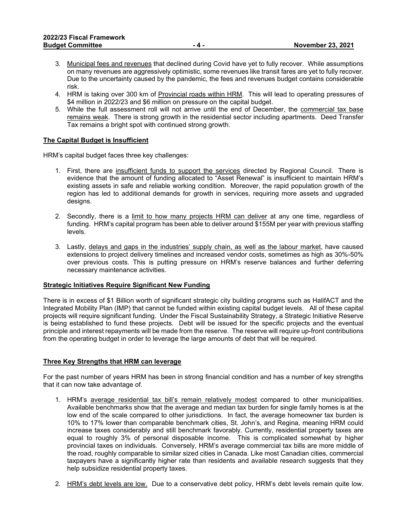- 3. Municipal fees and revenues that declined during Covid have yet to fully recover. While assumptions on many revenues are aggressively optimistic, some revenues like transit fares are yet to fully recover. Due to the uncertainty caused by the pandemic, the fees and revenues budget contains considerable risk.
- 4. HRM is taking over 300 km of Provincial roads within HRM. This will lead to operating pressures of \$4 million in 2022/23 and \$6 million on pressure on the capital budget.
- 5. While the full assessment roll will not arrive until the end of December, the commercial tax base remains weak. There is strong growth in the residential sector including apartments. Deed Transfer Tax remains a bright spot with continued strong growth.

#### **The Capital Budget is Insufficient**

HRM's capital budget faces three key challenges:

- 1. First, there are insufficient funds to support the services directed by Regional Council. There is evidence that the amount of funding allocated to "Asset Renewal" is insufficient to maintain HRM's existing assets in safe and reliable working condition. Moreover, the rapid population growth of the region has led to additional demands for growth in services, requiring more assets and upgraded designs.
- 2. Secondly, there is a limit to how many projects HRM can deliver at any one time, regardless of funding. HRM's capital program has been able to deliver around \$155M per year with previous staffing levels.
- 3. Lastly, delays and gaps in the industries' supply chain, as well as the labour market, have caused extensions to project delivery timelines and increased vendor costs, sometimes as high as 30%-50% over previous costs. This is putting pressure on HRM's reserve balances and further deferring necessary maintenance activities.

#### **Strategic Initiatives Require Significant New Funding**

There is in excess of \$1 Billion worth of significant strategic city building programs such as HalifACT and the Integrated Mobility Plan (IMP) that cannot be funded within existing capital budget levels. All of these capital projects will require significant funding. Under the Fiscal Sustainability Strategy, a Strategic Initiative Reserve is being established to fund these projects. Debt will be issued for the specific projects and the eventual principle and interest repayments will be made from the reserve. The reserve will require up-front contributions from the operating budget in order to leverage the large amounts of debt that will be required.

#### **Three Key Strengths that HRM can leverage**

For the past number of years HRM has been in strong financial condition and has a number of key strengths that it can now take advantage of.

- 1. HRM's average residential tax bill's remain relatively modest compared to other municipalities. Available benchmarks show that the average and median tax burden for single family homes is at the low end of the scale compared to other jurisdictions. In fact, the average homeowner tax burden is 10% to 17% lower than comparable benchmark cities, St. John's, and Regina, meaning HRM could increase taxes considerably and still benchmark favorably. Currently, residential property taxes are equal to roughly 3% of personal disposable income. This is complicated somewhat by higher provincial taxes on individuals. Conversely, HRM's average commercial tax bills are more middle of the road, roughly comparable to similar sized cities in Canada. Like most Canadian cities, commercial taxpayers have a significantly higher rate than residents and available research suggests that they help subsidize residential property taxes.
- 2. HRM's debt levels are low. Due to a conservative debt policy, HRM's debt levels remain quite low.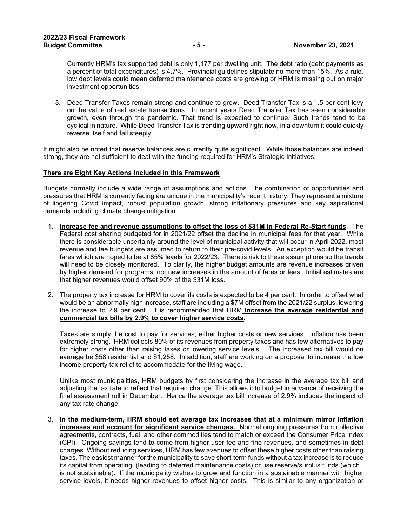Currently HRM's tax supported debt is only 1,177 per dwelling unit. The debt ratio (debt payments as a percent of total expenditures) is 4.7%. Provincial guidelines stipulate no more than 15%. As a rule, low debt levels could mean deferred maintenance costs are growing or HRM is missing out on major investment opportunities.

3. Deed Transfer Taxes remain strong and continue to grow. Deed Transfer Tax is a 1.5 per cent levy on the value of real estate transactions. In recent years Deed Transfer Tax has seen considerable growth, even through the pandemic. That trend is expected to continue. Such trends tend to be cyclical in nature. While Deed Transfer Tax is trending upward right now, in a downturn it could quickly reverse itself and fall steeply.

It might also be noted that reserve balances are currently quite significant. While those balances are indeed strong, they are not sufficient to deal with the funding required for HRM's Strategic Initiatives.

#### **There are Eight Key Actions included in this Framework**

Budgets normally include a wide range of assumptions and actions. The combination of opportunities and pressures that HRM is currently facing are unique in the municipality's recent history. They represent a mixture of lingering Covid impact, robust population growth, strong inflationary pressures and key aspirational demands including climate change mitigation.

- 1. **Increase fee and revenue assumptions to offset the loss of \$31M in Federal Re-Start funds**. The Federal cost sharing budgeted for in 2021/22 offset the decline in municipal fees for that year. While there is considerable uncertainty around the level of municipal activity that will occur in April 2022, most revenue and fee budgets are assumed to return to their pre-covid levels. An exception would be transit fares which are hoped to be at 85% levels for 2022/23. There is risk to these assumptions so the trends will need to be closely monitored. To clarify, the higher budget amounts are revenue increases driven by higher demand for programs, not new increases in the amount of fares or fees. Initial estimates are that higher revenues would offset 90% of the \$31M loss.
- 2. The property tax increase for HRM to cover its costs is expected to be 4 per cent. In order to offset what would be an abnormally high increase, staff are including a \$7M offset from the 2021/22 surplus, lowering the increase to 2.9 per cent. It is recommended that HRM **increase the average residential and commercial tax bills by 2.9% to cover higher service costs.**

Taxes are simply the cost to pay for services, either higher costs or new services. Inflation has been extremely strong. HRM collects 80% of its revenues from property taxes and has few alternatives to pay for higher costs other than raising taxes or lowering service levels. The increased tax bill would on average be \$58 residential and \$1,258. In addition, staff are working on a proposal to increase the low income property tax relief to accommodate for the living wage.

Unlike most municipalities, HRM budgets by first considering the increase in the average tax bill and adjusting the tax rate to reflect that required change. This allows it to budget in advance of receiving the final assessment roll in December. Hence the average tax bill increase of 2.9% includes the impact of any tax rate change.

3. **In the medium-term, HRM should set average tax increases that at a minimum mirror inflation increases and account for significant service changes.** Normal ongoing pressures from collective agreements, contracts, fuel, and other commodities tend to match or exceed the Consumer Price Index (CPI). Ongoing savings tend to come from higher user fee and fine revenues, and sometimes in debt charges. Without reducing services, HRM has few avenues to offset these higher costs other than raising taxes. The easiest manner for the municipality to save short-term funds without a tax increase is to reduce its capital from operating, (leading to deferred maintenance costs) or use reserve/surplus funds (which is not sustainable). If the municipality wishes to grow and function in a sustainable manner with higher service levels, it needs higher revenues to offset higher costs. This is similar to any organization or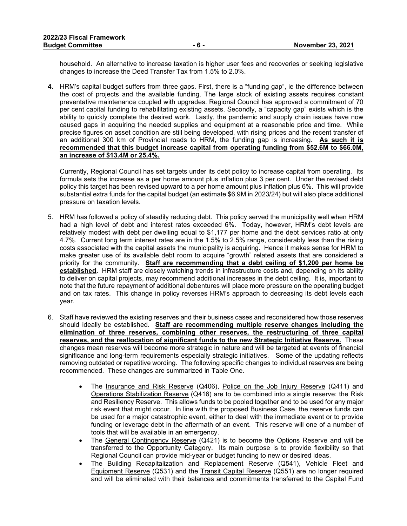household. An alternative to increase taxation is higher user fees and recoveries or seeking legislative changes to increase the Deed Transfer Tax from 1.5% to 2.0%.

**4.** HRM's capital budget suffers from three gaps. First, there is a "funding gap", ie the difference between the cost of projects and the available funding. The large stock of existing assets requires constant preventative maintenance coupled with upgrades. Regional Council has approved a commitment of 70 per cent capital funding to rehabilitating existing assets. Secondly, a "capacity gap" exists which is the ability to quickly complete the desired work. Lastly, the pandemic and supply chain issues have now caused gaps in acquiring the needed supplies and equipment at a reasonable price and time. While precise figures on asset condition are still being developed, with rising prices and the recent transfer of an additional 300 km of Provincial roads to HRM, the funding gap is increasing. **As such it is recommended that this budget increase capital from operating funding from \$52.6M to \$66.0M, an increase of \$13.4M or 25.4%.**

Currently, Regional Council has set targets under its debt policy to increase capital from operating. Its formula sets the increase as a per home amount plus inflation plus 3 per cent. Under the revised debt policy this target has been revised upward to a per home amount plus inflation plus 6%. This will provide substantial extra funds for the capital budget (an estimate \$6.9M in 2023/24) but will also place additional pressure on taxation levels.

- 5. HRM has followed a policy of steadily reducing debt. This policy served the municipality well when HRM had a high level of debt and interest rates exceeded 6%. Today, however, HRM's debt levels are relatively modest with debt per dwelling equal to \$1,177 per home and the debt services ratio at only 4.7%. Current long term interest rates are in the 1.5% to 2.5% range, considerably less than the rising costs associated with the capital assets the municipality is acquiring. Hence it makes sense for HRM to make greater use of its available debt room to acquire "growth" related assets that are considered a priority for the community. **Staff are recommending that a debt ceiling of \$1,200 per home be established.** HRM staff are closely watching trends in infrastructure costs and, depending on its ability to deliver on capital projects, may recommend additional increases in the debt ceiling. It is, important to note that the future repayment of additional debentures will place more pressure on the operating budget and on tax rates. This change in policy reverses HRM's approach to decreasing its debt levels each year.
- 6. Staff have reviewed the existing reserves and their business cases and reconsidered how those reserves should ideally be established. **Staff are recommending multiple reserve changes including the elimination of three reserves, combining other reserves, the restructuring of three capital reserves, and the reallocation of significant funds to the new Strategic Initiative Reserve.** These changes mean reserves will become more strategic in nature and will be targeted at events of financial significance and long-term requirements especially strategic initiatives. Some of the updating reflects removing outdated or repetitive wording. The following specific changes to individual reserves are being recommended. These changes are summarized in Table One.
	- The Insurance and Risk Reserve (Q406), Police on the Job Injury Reserve (Q411) and Operations Stabilization Reserve (Q416) are to be combined into a single reserve: the Risk and Resiliency Reserve. This allows funds to be pooled together and to be used for any major risk event that might occur. In line with the proposed Business Case, the reserve funds can be used for a major catastrophic event, either to deal with the immediate event or to provide funding or leverage debt in the aftermath of an event. This reserve will one of a number of tools that will be available in an emergency.
	- The General Contingency Reserve (Q421) is to become the Options Reserve and will be transferred to the Opportunity Category. Its main purpose is to provide flexibility so that Regional Council can provide mid-year or budget funding to new or desired ideas.
	- The Building Recapitalization and Replacement Reserve (Q541), Vehicle Fleet and Equipment Reserve (Q531) and the Transit Capital Reserve (Q551) are no longer required and will be eliminated with their balances and commitments transferred to the Capital Fund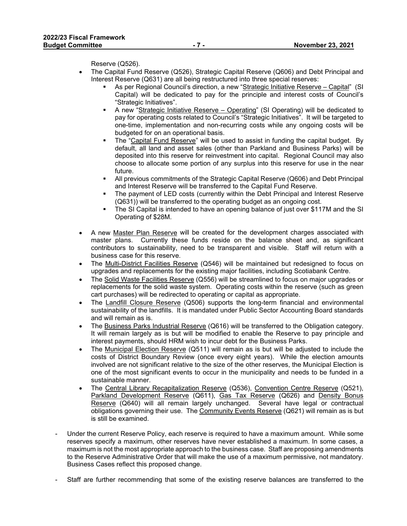Reserve (Q526).

- The Capital Fund Reserve (Q526), Strategic Capital Reserve (Q606) and Debt Principal and Interest Reserve (Q631) are all being restructured into three special reserves:
	- As per Regional Council's direction, a new "Strategic Initiative Reserve Capital" (SI Capital) will be dedicated to pay for the principle and interest costs of Council's "Strategic Initiatives".
	- A new "Strategic Initiative Reserve Operating" (SI Operating) will be dedicated to pay for operating costs related to Council's "Strategic Initiatives". It will be targeted to one-time, implementation and non-recurring costs while any ongoing costs will be budgeted for on an operational basis.
	- The "Capital Fund Reserve" will be used to assist in funding the capital budget. By default, all land and asset sales (other than Parkland and Business Parks) will be deposited into this reserve for reinvestment into capital. Regional Council may also choose to allocate some portion of any surplus into this reserve for use in the near future.
	- All previous commitments of the Strategic Capital Reserve (Q606) and Debt Principal and Interest Reserve will be transferred to the Capital Fund Reserve.
	- The payment of LED costs (currently within the Debt Principal and Interest Reserve (Q631)) will be transferred to the operating budget as an ongoing cost.
	- The SI Capital is intended to have an opening balance of just over \$117M and the SI Operating of \$28M.
- A new Master Plan Reserve will be created for the development charges associated with master plans. Currently these funds reside on the balance sheet and, as significant contributors to sustainability, need to be transparent and visible. Staff will return with a business case for this reserve.
- The Multi-District Facilities Reserve (Q546) will be maintained but redesigned to focus on upgrades and replacements for the existing major facilities, including Scotiabank Centre.
- The Solid Waste Facilities Reserve (Q556) will be streamlined to focus on major upgrades or replacements for the solid waste system. Operating costs within the reserve (such as green cart purchases) will be redirected to operating or capital as appropriate.
- The Landfill Closure Reserve (Q506) supports the long-term financial and environmental sustainability of the landfills. It is mandated under Public Sector Accounting Board standards and will remain as is.
- The Business Parks Industrial Reserve (Q616) will be transferred to the Obligation category. It will remain largely as is but will be modified to enable the Reserve to pay principle and interest payments, should HRM wish to incur debt for the Business Parks.
- The Municipal Election Reserve (Q511) will remain as is but will be adjusted to include the costs of District Boundary Review (once every eight years). While the election amounts involved are not significant relative to the size of the other reserves, the Municipal Election is one of the most significant events to occur in the municipality and needs to be funded in a sustainable manner.
- The Central Library Recapitalization Reserve (Q536), Convention Centre Reserve (Q521), Parkland Development Reserve (Q611), Gas Tax Reserve (Q626) and Density Bonus Reserve (Q640) will all remain largely unchanged. Several have legal or contractual obligations governing their use. The Community Events Reserve (Q621) will remain as is but is still be examined.
- Under the current Reserve Policy, each reserve is required to have a maximum amount. While some reserves specify a maximum, other reserves have never established a maximum. In some cases, a maximum is not the most appropriate approach to the business case. Staff are proposing amendments to the Reserve Administrative Order that will make the use of a maximum permissive, not mandatory. Business Cases reflect this proposed change.
- Staff are further recommending that some of the existing reserve balances are transferred to the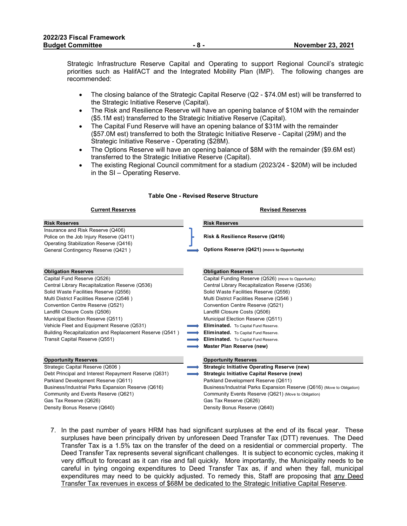Strategic Infrastructure Reserve Capital and Operating to support Regional Council's strategic priorities such as HalifACT and the Integrated Mobility Plan (IMP). The following changes are recommended:

- The closing balance of the Strategic Capital Reserve (Q2 \$74.0M est) will be transferred to the Strategic Initiative Reserve (Capital).
- The Risk and Resilience Reserve will have an opening balance of \$10M with the remainder (\$5.1M est) transferred to the Strategic Initiative Reserve (Capital).
- The Capital Fund Reserve will have an opening balance of \$31M with the remainder (\$57.0M est) transferred to both the Strategic Initiative Reserve - Capital (29M) and the Strategic Initiative Reserve - Operating (\$28M).
- The Options Reserve will have an opening balance of \$8M with the remainder (\$9.6M est) transferred to the Strategic Initiative Reserve (Capital).
- The existing Regional Council commitment for a stadium (2023/24 \$20M) will be included in the SI – Operating Reserve.

#### **Current Reserves Revised Reserves Risk Reserves Risk Reserves** Insurance and Risk Reserve (Q406) Police on the Job Injury Reserve (Q411) Operating Stabilization Reserve (Q416) General Contingency Reserve (Q421) **Options Reserve (Q421)** (move to Opportunity) **Obligation Reserves Obligation Reserves** Capital Fund Reserve (Q526) Capital Funding Reserve (Q526) (move to Opportunity) Central Library Recapitalization Reserve (Q536) Central Library Recapitalization Reserve (Q536) Solid Waste Facilities Reserve (Q556) Solid Waste Facilities Reserve (Q556) Multi District Facilities Reserve (Q546) Multi District Facilities Reserve (Q546) Convention Centre Reserve (Q521) Convention Centre Reserve (Q521) Landfill Closure Costs (Q506) Landfill Closure Costs (Q506) Municipal Election Reserve (Q511) Municipal Election Reserve (Q511) Vehicle Fleet and Equipment Reserve (Q531) **Eliminated.** To Capital Fund Reserve. Building Recapitalization and Replacement Reserve (Q541 ) **Eliminated.** To Capital Fund Reserve. Transit Capital Reserve (Q551) **Eliminated.** To Capital Fund Reserve. **Master Plan Reserve (new) Opportunity Reserves Opportunity Reserves** Strategic Capital Reserve (Q606 ) **Strategic Initiative Operating Reserve (new)** Debt Principal and Interest Repayment Reserve (Q631) **Strategic Initiative Capital Reserve (new)** Parkland Development Reserve (Q611) Parkland Development Reserve (Q611) Business/Industrial Parks Expansion Reserve (Q616) Business/Industrial Parks Expansion Reserve (Q616) (Move to Obligation) Community and Events Reserve (Q621) Community Events Reserve (Q621) (Move to Obligation) Gas Tax Reserve (Q626) Gas Tax Reserve (Q626) Density Bonus Reserve (Q640) Density Bonus Reserve (Q640) **Risk & Resilience Reserve (Q416)**

**Table One - Revised Reserve Structure**

7. In the past number of years HRM has had significant surpluses at the end of its fiscal year. These surpluses have been principally driven by unforeseen Deed Transfer Tax (DTT) revenues. The Deed Transfer Tax is a 1.5% tax on the transfer of the deed on a residential or commercial property. The Deed Transfer Tax represents several significant challenges. It is subject to economic cycles, making it very difficult to forecast as it can rise and fall quickly. More importantly, the Municipality needs to be careful in tying ongoing expenditures to Deed Transfer Tax as, if and when they fall, municipal expenditures may need to be quickly adjusted. To remedy this, Staff are proposing that any Deed Transfer Tax revenues in excess of \$68M be dedicated to the Strategic Initiative Capital Reserve.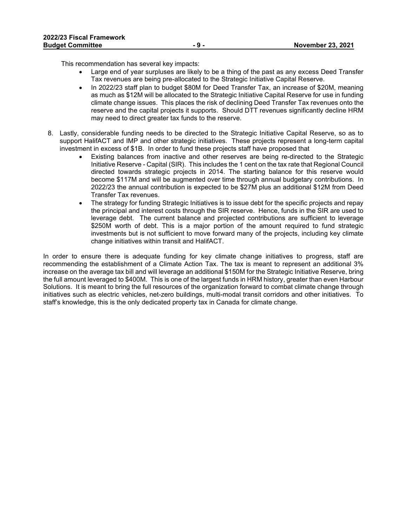This recommendation has several key impacts:

- Large end of year surpluses are likely to be a thing of the past as any excess Deed Transfer Tax revenues are being pre-allocated to the Strategic Initiative Capital Reserve.
- In 2022/23 staff plan to budget \$80M for Deed Transfer Tax, an increase of \$20M, meaning as much as \$12M will be allocated to the Strategic Initiative Capital Reserve for use in funding climate change issues. This places the risk of declining Deed Transfer Tax revenues onto the reserve and the capital projects it supports. Should DTT revenues significantly decline HRM may need to direct greater tax funds to the reserve.
- 8. Lastly, considerable funding needs to be directed to the Strategic Initiative Capital Reserve, so as to support HalifACT and IMP and other strategic initiatives. These projects represent a long-term capital investment in excess of \$1B. In order to fund these projects staff have proposed that
	- Existing balances from inactive and other reserves are being re-directed to the Strategic Initiative Reserve - Capital (SIR). This includes the 1 cent on the tax rate that Regional Council directed towards strategic projects in 2014. The starting balance for this reserve would become \$117M and will be augmented over time through annual budgetary contributions. In 2022/23 the annual contribution is expected to be \$27M plus an additional \$12M from Deed Transfer Tax revenues.
	- The strategy for funding Strategic Initiatives is to issue debt for the specific projects and repay the principal and interest costs through the SIR reserve. Hence, funds in the SIR are used to leverage debt. The current balance and projected contributions are sufficient to leverage \$250M worth of debt. This is a major portion of the amount required to fund strategic investments but is not sufficient to move forward many of the projects, including key climate change initiatives within transit and HalifACT.

In order to ensure there is adequate funding for key climate change initiatives to progress, staff are recommending the establishment of a Climate Action Tax. The tax is meant to represent an additional 3% increase on the average tax bill and will leverage an additional \$150M for the Strategic Initiative Reserve, bring the full amount leveraged to \$400M. This is one of the largest funds in HRM history, greater than even Harbour Solutions. It is meant to bring the full resources of the organization forward to combat climate change through initiatives such as electric vehicles, net-zero buildings, multi-modal transit corridors and other initiatives. To staff's knowledge, this is the only dedicated property tax in Canada for climate change.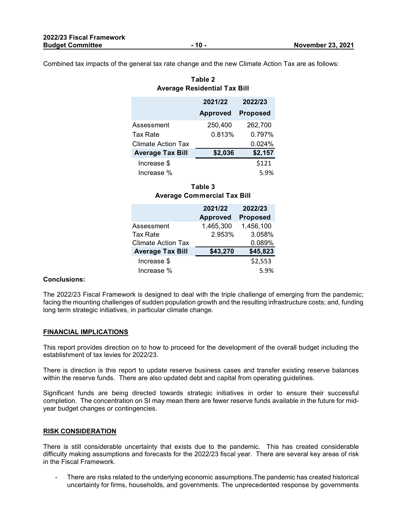Combined tax impacts of the general tax rate change and the new Climate Action Tax are as follows:

| rabie z<br><b>Average Residential Tax Bill</b> |                 |                 |
|------------------------------------------------|-----------------|-----------------|
|                                                | 2021/22         | 2022/23         |
|                                                | <b>Approved</b> | <b>Proposed</b> |
| Assessment                                     | 250,400         | 262,700         |
| Tax Rate                                       | 0.813%          | 0.797%          |
| <b>Climate Action Tax</b>                      |                 | 0.024%          |
| <b>Average Tax Bill</b>                        | \$2,036         | \$2,157         |
| Increase \$                                    |                 | \$121           |

#### **Table 3 Average Commercial Tax Bill**

Increase % 5.9%

|                           | 2021/22<br><b>Approved</b> | 2022/23<br><b>Proposed</b> |
|---------------------------|----------------------------|----------------------------|
| Assessment                | 1,465,300                  | 1,456,100                  |
| Tax Rate                  | 2.953%                     | 3.058%                     |
| <b>Climate Action Tax</b> |                            | 0.089%                     |
| <b>Average Tax Bill</b>   | \$43,270                   | \$45,823                   |
| Increase \$               |                            | \$2,553                    |
| Increase %                |                            | 5.9%                       |

#### **Conclusions:**

The 2022/23 Fiscal Framework is designed to deal with the triple challenge of emerging from the pandemic; facing the mounting challenges of sudden population growth and the resulting infrastructure costs; and, funding long term strategic initiatives, in particular climate change.

#### **FINANCIAL IMPLICATIONS**

This report provides direction on to how to proceed for the development of the overall budget including the establishment of tax levies for 2022/23.

There is direction is this report to update reserve business cases and transfer existing reserve balances within the reserve funds. There are also updated debt and capital from operating guidelines.

Significant funds are being directed towards strategic initiatives in order to ensure their successful completion. The concentration on SI may mean there are fewer reserve funds available in the future for midyear budget changes or contingencies.

#### **RISK CONSIDERATION**

There is still considerable uncertainty that exists due to the pandemic. This has created considerable difficulty making assumptions and forecasts for the 2022/23 fiscal year. There are several key areas of risk in the Fiscal Framework.

There are risks related to the underlying economic assumptions. The pandemic has created historical uncertainty for firms, households, and governments. The unprecedented response by governments

**Table 2**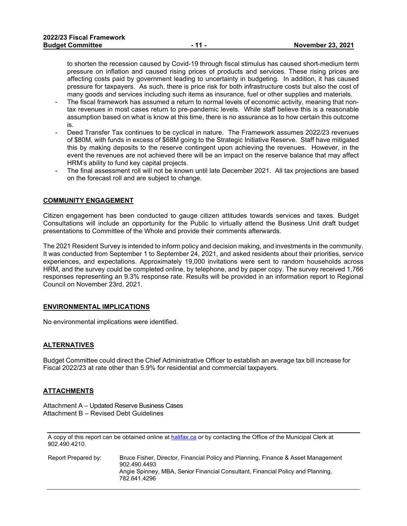to shorten the recession caused by Covid-19 through fiscal stimulus has caused short-medium term pressure on inflation and caused rising prices of products and services. These rising prices are affecting costs paid by government leading to uncertainty in budgeting. In addition, it has caused pressure for taxpayers. As such, there is price risk for both infrastructure costs but also the cost of many goods and services including such items as insurance, fuel or other supplies and materials.

- The fiscal framework has assumed a return to normal levels of economic activity, meaning that nontax revenues in most cases return to pre-pandemic levels. While staff believe this is a reasonable assumption based on what is know at this time, there is no assurance as to how certain this outcome is.
- Deed Transfer Tax continues to be cyclical in nature. The Framework assumes 2022/23 revenues of \$80M, with funds in excess of \$68M going to the Strategic Initiative Reserve. Staff have mitigated this by making deposits to the reserve contingent upon achieving the revenues. However, in the event the revenues are not achieved there will be an impact on the reserve balance that may affect HRM's ability to fund key capital projects.
- The final assessment roll will not be known until late December 2021. All tax projections are based on the forecast roll and are subject to change.

#### **COMMUNITY ENGAGEMENT**

Citizen engagement has been conducted to gauge citizen attitudes towards services and taxes. Budget Consultations will include an opportunity for the Public to virtually attend the Business Unit draft budget presentations to Committee of the Whole and provide their comments afterwards.

The 2021 Resident Survey is intended to inform policy and decision making, and investments in the community. It was conducted from September 1 to September 24, 2021, and asked residents about their priorities, service experiences, and expectations. Approximately 19,000 invitations were sent to random households across HRM, and the survey could be completed online, by telephone, and by paper copy. The survey received 1,766 responses representing an 9.3% response rate. Results will be provided in an information report to Regional Council on November 23rd, 2021.

#### **ENVIRONMENTAL IMPLICATIONS**

No environmental implications were identified.

#### **ALTERNATIVES**

Budget Committee could direct the Chief Administrative Officer to establish an average tax bill increase for Fiscal 2022/23 at rate other than 5.9% for residential and commercial taxpayers.

#### **ATTACHMENTS**

Attachment A – Updated Reserve Business Cases Attachment B – Revised Debt Guidelines

A copy of this report can be obtained online a[t halifax.ca](http://www.halifax.ca/) or by contacting the Office of the Municipal Clerk at 902.490.4210.

| Report Prepared by: | Bruce Fisher, Director, Financial Policy and Planning, Finance & Asset Management<br>902.490.4493 |
|---------------------|---------------------------------------------------------------------------------------------------|
|                     | Angie Spinney, MBA, Senior Financial Consultant, Financial Policy and Planning,<br>782.641.4296   |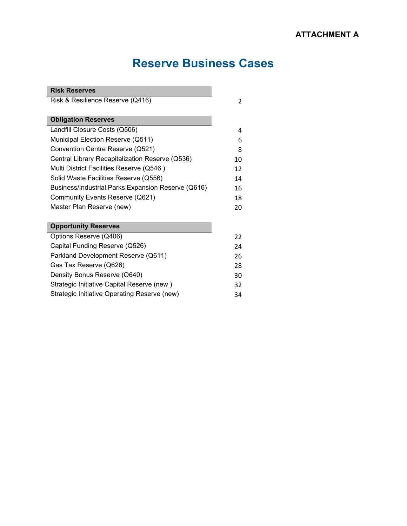# **Reserve Business Cases**

| <b>Risk Reserves</b>                               |                |
|----------------------------------------------------|----------------|
| Risk & Resilience Reserve (Q416)                   | $\overline{c}$ |
|                                                    |                |
| <b>Obligation Reserves</b>                         |                |
| Landfill Closure Costs (Q506)                      | 4              |
| Municipal Election Reserve (Q511)                  | 6              |
| Convention Centre Reserve (Q521)                   | 8              |
| Central Library Recapitalization Reserve (Q536)    | 10             |
| Multi District Facilities Reserve (Q546)           | 12             |
| Solid Waste Facilities Reserve (Q556)              | 14             |
| Business/Industrial Parks Expansion Reserve (Q616) | 16             |
| Community Events Reserve (Q621)                    | 18             |
| Master Plan Reserve (new)                          | 20             |
|                                                    |                |
| <b>Opportunity Reserves</b>                        |                |
| Options Reserve (Q406)                             | 22             |
| Capital Funding Reserve (Q526)                     | 24             |
| Parkland Development Reserve (Q611)                | 26             |
| Gas Tax Reserve (Q626)                             | 28             |
| Density Bonus Reserve (Q640)                       | 30             |
| Strategic Initiative Capital Reserve (new)         | 32             |
| Strategic Initiative Operating Reserve (new)       | 34             |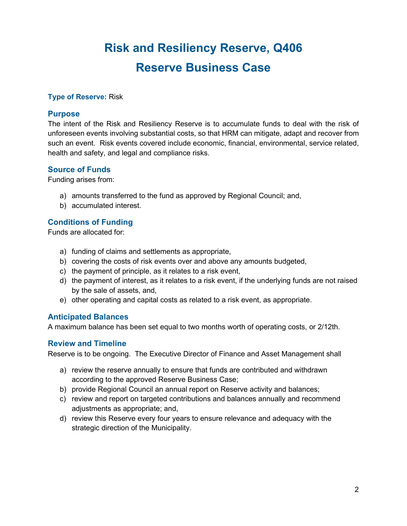# **Risk and Resiliency Reserve, Q406 Reserve Business Case**

#### **Type of Reserve:** Risk

#### **Purpose**

The intent of the Risk and Resiliency Reserve is to accumulate funds to deal with the risk of unforeseen events involving substantial costs, so that HRM can mitigate, adapt and recover from such an event. Risk events covered include economic, financial, environmental, service related, health and safety, and legal and compliance risks.

#### **Source of Funds**

Funding arises from:

- a) amounts transferred to the fund as approved by Regional Council; and,
- b) accumulated interest.

#### **Conditions of Funding**

Funds are allocated for:

- a) funding of claims and settlements as appropriate,
- b) covering the costs of risk events over and above any amounts budgeted,
- c) the payment of principle, as it relates to a risk event,
- d) the payment of interest, as it relates to a risk event, if the underlying funds are not raised by the sale of assets, and,
- e) other operating and capital costs as related to a risk event, as appropriate.

#### **Anticipated Balances**

A maximum balance has been set equal to two months worth of operating costs, or 2/12th.

#### **Review and Timeline**

Reserve is to be ongoing. The Executive Director of Finance and Asset Management shall

- a) review the reserve annually to ensure that funds are contributed and withdrawn according to the approved Reserve Business Case;
- b) provide Regional Council an annual report on Reserve activity and balances;
- c) review and report on targeted contributions and balances annually and recommend adjustments as appropriate; and,
- d) review this Reserve every four years to ensure relevance and adequacy with the strategic direction of the Municipality.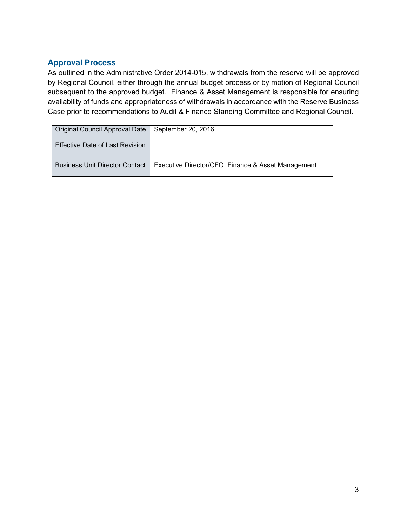| Original Council Approval Date        | September 20, 2016                                 |
|---------------------------------------|----------------------------------------------------|
| Effective Date of Last Revision       |                                                    |
| <b>Business Unit Director Contact</b> | Executive Director/CFO, Finance & Asset Management |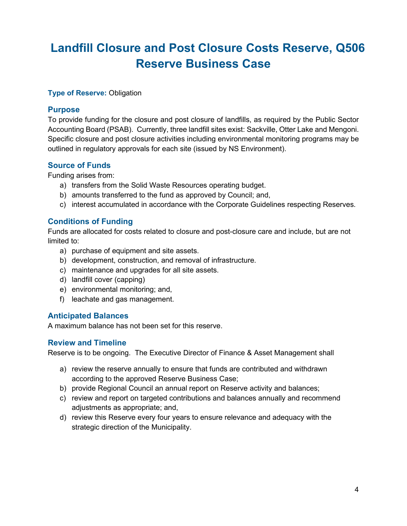# **Landfill Closure and Post Closure Costs Reserve, Q506 Reserve Business Case**

#### **Type of Reserve: Obligation**

#### **Purpose**

To provide funding for the closure and post closure of landfills, as required by the Public Sector Accounting Board (PSAB). Currently, three landfill sites exist: Sackville, Otter Lake and Mengoni. Specific closure and post closure activities including environmental monitoring programs may be outlined in regulatory approvals for each site (issued by NS Environment).

#### **Source of Funds**

Funding arises from:

- a) transfers from the Solid Waste Resources operating budget.
- b) amounts transferred to the fund as approved by Council; and,
- c) interest accumulated in accordance with the Corporate Guidelines respecting Reserves.

#### **Conditions of Funding**

Funds are allocated for costs related to closure and post-closure care and include, but are not limited to:

- a) purchase of equipment and site assets.
- b) development, construction, and removal of infrastructure.
- c) maintenance and upgrades for all site assets.
- d) landfill cover (capping)
- e) environmental monitoring; and,
- f) leachate and gas management.

#### **Anticipated Balances**

A maximum balance has not been set for this reserve.

#### **Review and Timeline**

Reserve is to be ongoing. The Executive Director of Finance & Asset Management shall

- a) review the reserve annually to ensure that funds are contributed and withdrawn according to the approved Reserve Business Case;
- b) provide Regional Council an annual report on Reserve activity and balances;
- c) review and report on targeted contributions and balances annually and recommend adjustments as appropriate; and,
- d) review this Reserve every four years to ensure relevance and adequacy with the strategic direction of the Municipality.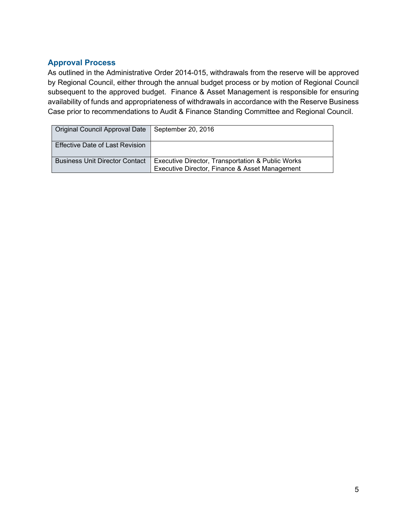| Original Council Approval Date   September 20, 2016 |                                                   |
|-----------------------------------------------------|---------------------------------------------------|
| Effective Date of Last Revision                     |                                                   |
| <b>Business Unit Director Contact</b>               | Executive Director, Transportation & Public Works |
|                                                     | Executive Director, Finance & Asset Management    |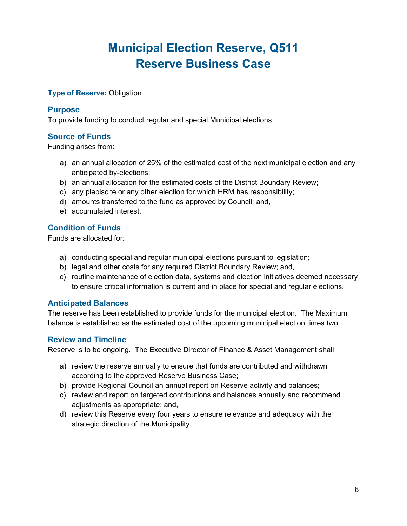# **Municipal Election Reserve, Q511 Reserve Business Case**

#### **Type of Reserve: Obligation**

#### **Purpose**

To provide funding to conduct regular and special Municipal elections.

### **Source of Funds**

Funding arises from:

- a) an annual allocation of 25% of the estimated cost of the next municipal election and any anticipated by-elections;
- b) an annual allocation for the estimated costs of the District Boundary Review;
- c) any plebiscite or any other election for which HRM has responsibility;
- d) amounts transferred to the fund as approved by Council; and,
- e) accumulated interest.

### **Condition of Funds**

Funds are allocated for:

- a) conducting special and regular municipal elections pursuant to legislation;
- b) legal and other costs for any required District Boundary Review; and,
- c) routine maintenance of election data, systems and election initiatives deemed necessary to ensure critical information is current and in place for special and regular elections.

#### **Anticipated Balances**

The reserve has been established to provide funds for the municipal election. The Maximum balance is established as the estimated cost of the upcoming municipal election times two.

#### **Review and Timeline**

Reserve is to be ongoing. The Executive Director of Finance & Asset Management shall

- a) review the reserve annually to ensure that funds are contributed and withdrawn according to the approved Reserve Business Case;
- b) provide Regional Council an annual report on Reserve activity and balances;
- c) review and report on targeted contributions and balances annually and recommend adjustments as appropriate; and,
- d) review this Reserve every four years to ensure relevance and adequacy with the strategic direction of the Municipality.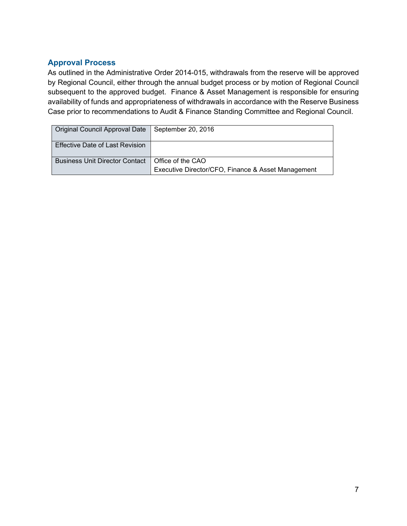| Original Council Approval Date   September 20, 2016 |                                                    |
|-----------------------------------------------------|----------------------------------------------------|
| Effective Date of Last Revision                     |                                                    |
| Business Unit Director Contact   Office of the CAO  | Executive Director/CFO, Finance & Asset Management |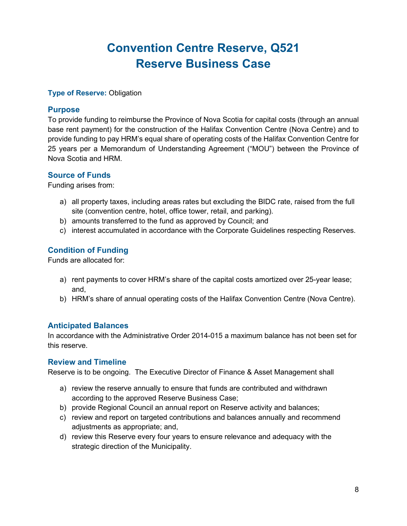# **Convention Centre Reserve, Q521 Reserve Business Case**

#### **Type of Reserve:** Obligation

#### **Purpose**

To provide funding to reimburse the Province of Nova Scotia for capital costs (through an annual base rent payment) for the construction of the Halifax Convention Centre (Nova Centre) and to provide funding to pay HRM's equal share of operating costs of the Halifax Convention Centre for 25 years per a Memorandum of Understanding Agreement ("MOU") between the Province of Nova Scotia and HRM.

#### **Source of Funds**

Funding arises from:

- a) all property taxes, including areas rates but excluding the BIDC rate, raised from the full site (convention centre, hotel, office tower, retail, and parking).
- b) amounts transferred to the fund as approved by Council; and
- c) interest accumulated in accordance with the Corporate Guidelines respecting Reserves.

#### **Condition of Funding**

Funds are allocated for:

- a) rent payments to cover HRM's share of the capital costs amortized over 25-year lease; and,
- b) HRM's share of annual operating costs of the Halifax Convention Centre (Nova Centre).

#### **Anticipated Balances**

In accordance with the Administrative Order 2014-015 a maximum balance has not been set for this reserve.

#### **Review and Timeline**

Reserve is to be ongoing. The Executive Director of Finance & Asset Management shall

- a) review the reserve annually to ensure that funds are contributed and withdrawn according to the approved Reserve Business Case;
- b) provide Regional Council an annual report on Reserve activity and balances;
- c) review and report on targeted contributions and balances annually and recommend adjustments as appropriate; and,
- d) review this Reserve every four years to ensure relevance and adequacy with the strategic direction of the Municipality.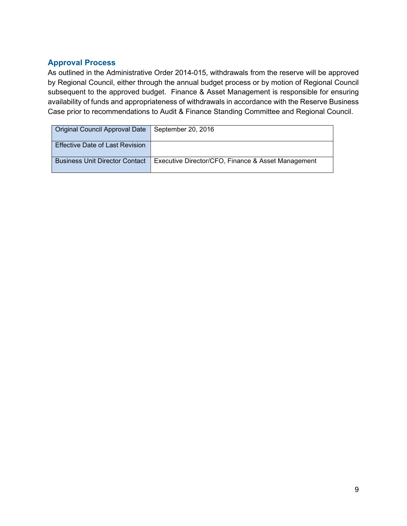| Original Council Approval Date   September 20, 2016 |                                                    |
|-----------------------------------------------------|----------------------------------------------------|
| <b>Effective Date of Last Revision</b>              |                                                    |
| <b>Business Unit Director Contact</b>               | Executive Director/CFO, Finance & Asset Management |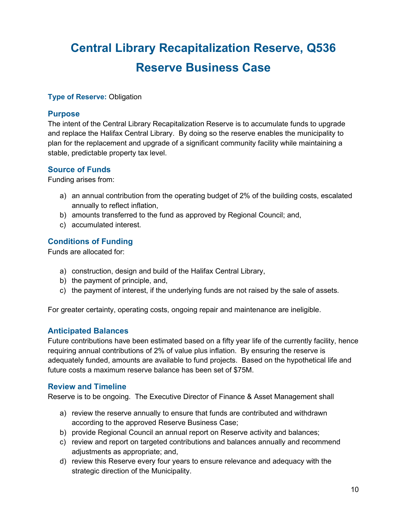# **Central Library Recapitalization Reserve, Q536 Reserve Business Case**

#### **Type of Reserve:** Obligation

#### **Purpose**

The intent of the Central Library Recapitalization Reserve is to accumulate funds to upgrade and replace the Halifax Central Library. By doing so the reserve enables the municipality to plan for the replacement and upgrade of a significant community facility while maintaining a stable, predictable property tax level.

#### **Source of Funds**

Funding arises from:

- a) an annual contribution from the operating budget of 2% of the building costs, escalated annually to reflect inflation,
- b) amounts transferred to the fund as approved by Regional Council; and,
- c) accumulated interest.

#### **Conditions of Funding**

Funds are allocated for:

- a) construction, design and build of the Halifax Central Library,
- b) the payment of principle, and,
- c) the payment of interest, if the underlying funds are not raised by the sale of assets.

For greater certainty, operating costs, ongoing repair and maintenance are ineligible.

#### **Anticipated Balances**

Future contributions have been estimated based on a fifty year life of the currently facility, hence requiring annual contributions of 2% of value plus inflation. By ensuring the reserve is adequately funded, amounts are available to fund projects. Based on the hypothetical life and future costs a maximum reserve balance has been set of \$75M.

#### **Review and Timeline**

Reserve is to be ongoing. The Executive Director of Finance & Asset Management shall

- a) review the reserve annually to ensure that funds are contributed and withdrawn according to the approved Reserve Business Case;
- b) provide Regional Council an annual report on Reserve activity and balances;
- c) review and report on targeted contributions and balances annually and recommend adjustments as appropriate; and,
- d) review this Reserve every four years to ensure relevance and adequacy with the strategic direction of the Municipality.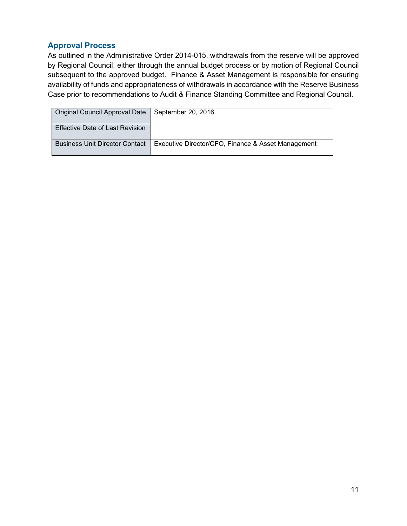| Original Council Approval Date         | September 20, 2016                                 |
|----------------------------------------|----------------------------------------------------|
| <b>Effective Date of Last Revision</b> |                                                    |
| <b>Business Unit Director Contact</b>  | Executive Director/CFO, Finance & Asset Management |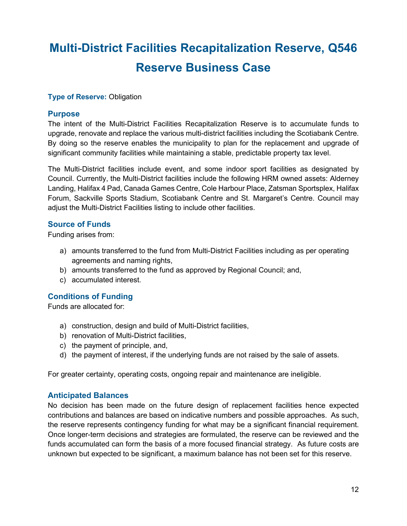# **Multi-District Facilities Recapitalization Reserve, Q546 Reserve Business Case**

#### **Type of Reserve: Obligation**

#### **Purpose**

The intent of the Multi-District Facilities Recapitalization Reserve is to accumulate funds to upgrade, renovate and replace the various multi-district facilities including the Scotiabank Centre. By doing so the reserve enables the municipality to plan for the replacement and upgrade of significant community facilities while maintaining a stable, predictable property tax level.

The Multi-District facilities include event, and some indoor sport facilities as designated by Council. Currently, the Multi-District facilities include the following HRM owned assets: Alderney Landing, Halifax 4 Pad, Canada Games Centre, Cole Harbour Place, Zatsman Sportsplex, Halifax Forum, Sackville Sports Stadium, Scotiabank Centre and St. Margaret's Centre. Council may adjust the Multi-District Facilities listing to include other facilities.

#### **Source of Funds**

Funding arises from:

- a) amounts transferred to the fund from Multi-District Facilities including as per operating agreements and naming rights,
- b) amounts transferred to the fund as approved by Regional Council; and,
- c) accumulated interest.

#### **Conditions of Funding**

Funds are allocated for:

- a) construction, design and build of Multi-District facilities,
- b) renovation of Multi-District facilities,
- c) the payment of principle, and,
- d) the payment of interest, if the underlying funds are not raised by the sale of assets.

For greater certainty, operating costs, ongoing repair and maintenance are ineligible.

#### **Anticipated Balances**

No decision has been made on the future design of replacement facilities hence expected contributions and balances are based on indicative numbers and possible approaches. As such, the reserve represents contingency funding for what may be a significant financial requirement. Once longer-term decisions and strategies are formulated, the reserve can be reviewed and the funds accumulated can form the basis of a more focused financial strategy. As future costs are unknown but expected to be significant, a maximum balance has not been set for this reserve.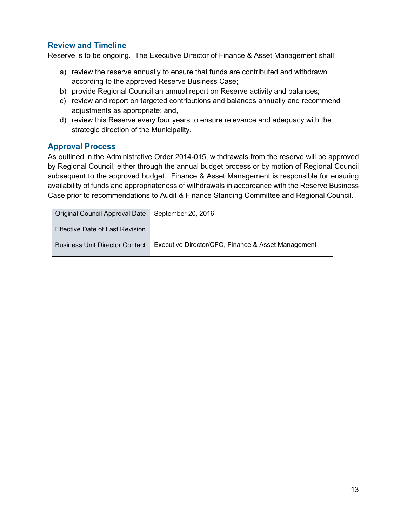### **Review and Timeline**

Reserve is to be ongoing. The Executive Director of Finance & Asset Management shall

- a) review the reserve annually to ensure that funds are contributed and withdrawn according to the approved Reserve Business Case;
- b) provide Regional Council an annual report on Reserve activity and balances;
- c) review and report on targeted contributions and balances annually and recommend adjustments as appropriate; and,
- d) review this Reserve every four years to ensure relevance and adequacy with the strategic direction of the Municipality.

#### **Approval Process**

| Original Council Approval Date   September 20, 2016 |                                                    |
|-----------------------------------------------------|----------------------------------------------------|
| <b>Effective Date of Last Revision</b>              |                                                    |
| <b>Business Unit Director Contact</b>               | Executive Director/CFO, Finance & Asset Management |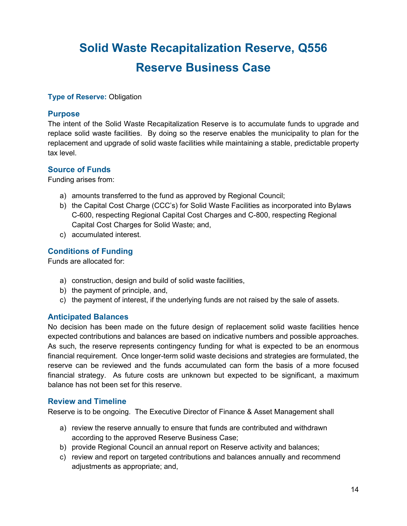# **Solid Waste Recapitalization Reserve, Q556 Reserve Business Case**

#### **Type of Reserve:** Obligation

#### **Purpose**

The intent of the Solid Waste Recapitalization Reserve is to accumulate funds to upgrade and replace solid waste facilities. By doing so the reserve enables the municipality to plan for the replacement and upgrade of solid waste facilities while maintaining a stable, predictable property tax level.

#### **Source of Funds**

Funding arises from:

- a) amounts transferred to the fund as approved by Regional Council;
- b) the Capital Cost Charge (CCC's) for Solid Waste Facilities as incorporated into Bylaws C-600, respecting Regional Capital Cost Charges and C-800, respecting Regional Capital Cost Charges for Solid Waste; and,
- c) accumulated interest.

#### **Conditions of Funding**

Funds are allocated for:

- a) construction, design and build of solid waste facilities,
- b) the payment of principle, and,
- c) the payment of interest, if the underlying funds are not raised by the sale of assets.

#### **Anticipated Balances**

No decision has been made on the future design of replacement solid waste facilities hence expected contributions and balances are based on indicative numbers and possible approaches. As such, the reserve represents contingency funding for what is expected to be an enormous financial requirement. Once longer-term solid waste decisions and strategies are formulated, the reserve can be reviewed and the funds accumulated can form the basis of a more focused financial strategy. As future costs are unknown but expected to be significant, a maximum balance has not been set for this reserve.

#### **Review and Timeline**

Reserve is to be ongoing. The Executive Director of Finance & Asset Management shall

- a) review the reserve annually to ensure that funds are contributed and withdrawn according to the approved Reserve Business Case;
- b) provide Regional Council an annual report on Reserve activity and balances;
- c) review and report on targeted contributions and balances annually and recommend adjustments as appropriate; and,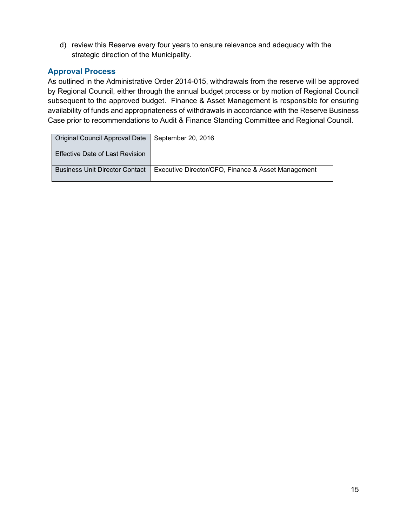d) review this Reserve every four years to ensure relevance and adequacy with the strategic direction of the Municipality.

### **Approval Process**

| Original Council Approval Date   September 20, 2016 |                                                    |
|-----------------------------------------------------|----------------------------------------------------|
| Effective Date of Last Revision                     |                                                    |
| <b>Business Unit Director Contact</b>               | Executive Director/CFO, Finance & Asset Management |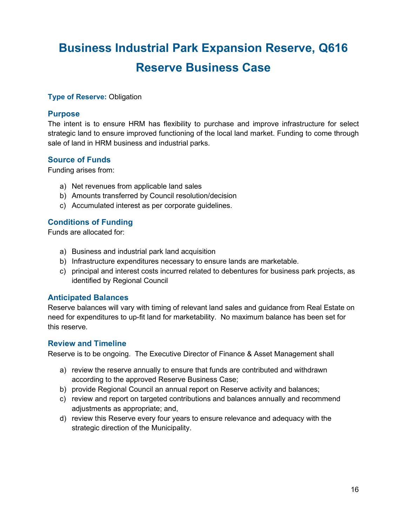# **Business Industrial Park Expansion Reserve, Q616 Reserve Business Case**

#### **Type of Reserve: Obligation**

#### **Purpose**

The intent is to ensure HRM has flexibility to purchase and improve infrastructure for select strategic land to ensure improved functioning of the local land market. Funding to come through sale of land in HRM business and industrial parks.

#### **Source of Funds**

Funding arises from:

- a) Net revenues from applicable land sales
- b) Amounts transferred by Council resolution/decision
- c) Accumulated interest as per corporate guidelines.

#### **Conditions of Funding**

Funds are allocated for:

- a) Business and industrial park land acquisition
- b) Infrastructure expenditures necessary to ensure lands are marketable.
- c) principal and interest costs incurred related to debentures for business park projects, as identified by Regional Council

#### **Anticipated Balances**

Reserve balances will vary with timing of relevant land sales and guidance from Real Estate on need for expenditures to up-fit land for marketability. No maximum balance has been set for this reserve.

#### **Review and Timeline**

Reserve is to be ongoing. The Executive Director of Finance & Asset Management shall

- a) review the reserve annually to ensure that funds are contributed and withdrawn according to the approved Reserve Business Case;
- b) provide Regional Council an annual report on Reserve activity and balances;
- c) review and report on targeted contributions and balances annually and recommend adjustments as appropriate; and,
- d) review this Reserve every four years to ensure relevance and adequacy with the strategic direction of the Municipality.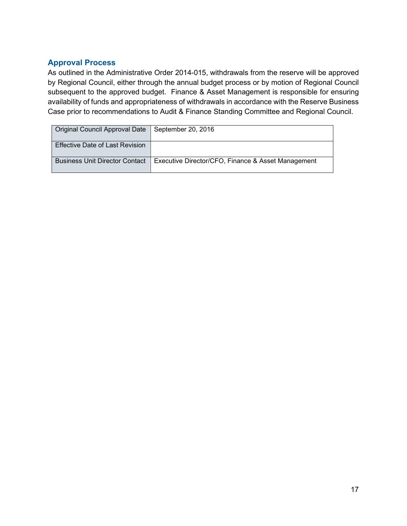| Original Council Approval Date   September 20, 2016 |                                                    |
|-----------------------------------------------------|----------------------------------------------------|
| <b>Effective Date of Last Revision</b>              |                                                    |
| <b>Business Unit Director Contact</b>               | Executive Director/CFO, Finance & Asset Management |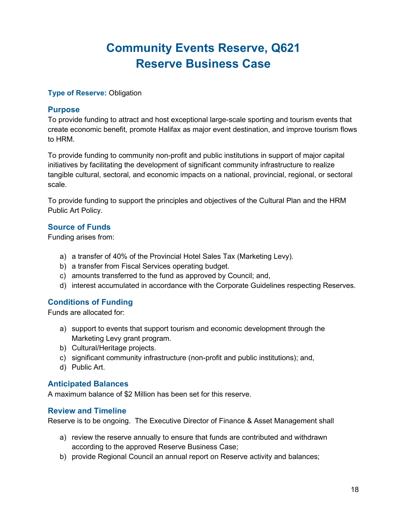# **Community Events Reserve, Q621 Reserve Business Case**

#### **Type of Reserve:** Obligation

#### **Purpose**

To provide funding to attract and host exceptional large-scale sporting and tourism events that create economic benefit, promote Halifax as major event destination, and improve tourism flows to HRM.

To provide funding to community non-profit and public institutions in support of major capital initiatives by facilitating the development of significant community infrastructure to realize tangible cultural, sectoral, and economic impacts on a national, provincial, regional, or sectoral scale.

To provide funding to support the principles and objectives of the Cultural Plan and the HRM Public Art Policy.

### **Source of Funds**

Funding arises from:

- a) a transfer of 40% of the Provincial Hotel Sales Tax (Marketing Levy).
- b) a transfer from Fiscal Services operating budget.
- c) amounts transferred to the fund as approved by Council; and,
- d) interest accumulated in accordance with the Corporate Guidelines respecting Reserves.

### **Conditions of Funding**

Funds are allocated for:

- a) support to events that support tourism and economic development through the Marketing Levy grant program.
- b) Cultural/Heritage projects.
- c) significant community infrastructure (non-profit and public institutions); and,
- d) Public Art.

#### **Anticipated Balances**

A maximum balance of \$2 Million has been set for this reserve.

#### **Review and Timeline**

Reserve is to be ongoing. The Executive Director of Finance & Asset Management shall

- a) review the reserve annually to ensure that funds are contributed and withdrawn according to the approved Reserve Business Case;
- b) provide Regional Council an annual report on Reserve activity and balances;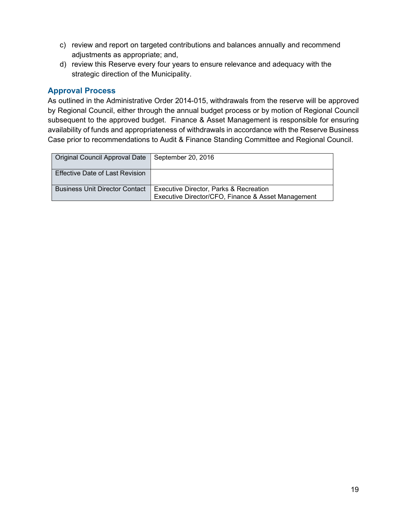- c) review and report on targeted contributions and balances annually and recommend adjustments as appropriate; and,
- d) review this Reserve every four years to ensure relevance and adequacy with the strategic direction of the Municipality.

| Original Council Approval Date        | September 20, 2016                                                                                      |
|---------------------------------------|---------------------------------------------------------------------------------------------------------|
| Effective Date of Last Revision       |                                                                                                         |
| <b>Business Unit Director Contact</b> | <b>Executive Director, Parks &amp; Recreation</b><br>Executive Director/CFO, Finance & Asset Management |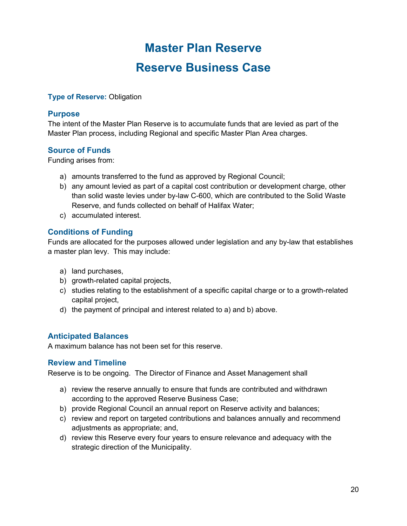# **Master Plan Reserve Reserve Business Case**

#### **Type of Reserve:** Obligation

#### **Purpose**

The intent of the Master Plan Reserve is to accumulate funds that are levied as part of the Master Plan process, including Regional and specific Master Plan Area charges.

#### **Source of Funds**

Funding arises from:

- a) amounts transferred to the fund as approved by Regional Council;
- b) any amount levied as part of a capital cost contribution or development charge, other than solid waste levies under by-law C-600, which are contributed to the Solid Waste Reserve, and funds collected on behalf of Halifax Water;
- c) accumulated interest.

#### **Conditions of Funding**

Funds are allocated for the purposes allowed under legislation and any by-law that establishes a master plan levy. This may include:

- a) land purchases,
- b) growth-related capital projects,
- c) studies relating to the establishment of a specific capital charge or to a growth-related capital project,
- d) the payment of principal and interest related to a) and b) above.

#### **Anticipated Balances**

A maximum balance has not been set for this reserve.

#### **Review and Timeline**

Reserve is to be ongoing. The Director of Finance and Asset Management shall

- a) review the reserve annually to ensure that funds are contributed and withdrawn according to the approved Reserve Business Case;
- b) provide Regional Council an annual report on Reserve activity and balances;
- c) review and report on targeted contributions and balances annually and recommend adjustments as appropriate; and,
- d) review this Reserve every four years to ensure relevance and adequacy with the strategic direction of the Municipality.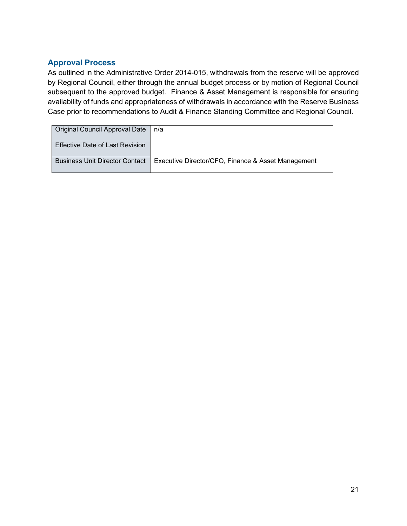| Original Council Approval Date        | n/a                                                |
|---------------------------------------|----------------------------------------------------|
| Effective Date of Last Revision       |                                                    |
| <b>Business Unit Director Contact</b> | Executive Director/CFO, Finance & Asset Management |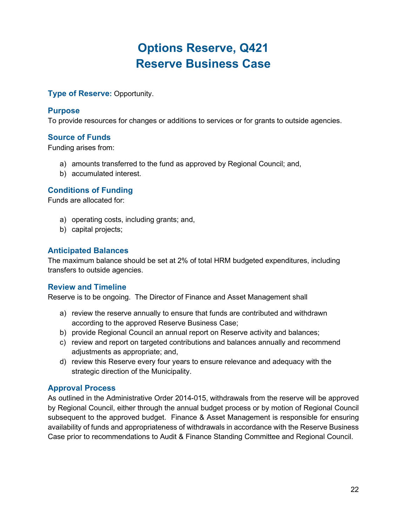# **Options Reserve, Q421 Reserve Business Case**

**Type of Reserve: Opportunity.** 

#### **Purpose**

To provide resources for changes or additions to services or for grants to outside agencies.

#### **Source of Funds**

Funding arises from:

- a) amounts transferred to the fund as approved by Regional Council; and,
- b) accumulated interest.

#### **Conditions of Funding**

Funds are allocated for:

- a) operating costs, including grants; and,
- b) capital projects;

#### **Anticipated Balances**

The maximum balance should be set at 2% of total HRM budgeted expenditures, including transfers to outside agencies.

#### **Review and Timeline**

Reserve is to be ongoing. The Director of Finance and Asset Management shall

- a) review the reserve annually to ensure that funds are contributed and withdrawn according to the approved Reserve Business Case;
- b) provide Regional Council an annual report on Reserve activity and balances;
- c) review and report on targeted contributions and balances annually and recommend adjustments as appropriate; and,
- d) review this Reserve every four years to ensure relevance and adequacy with the strategic direction of the Municipality.

#### **Approval Process**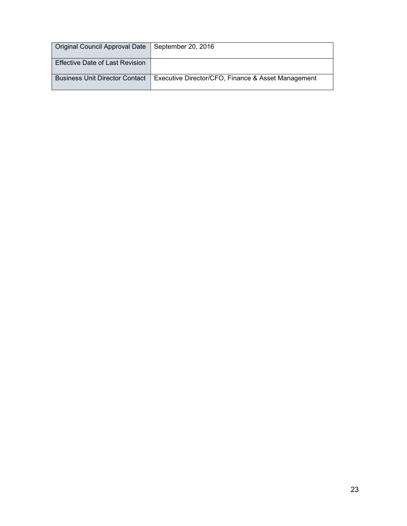| Original Council Approval Date   September 20, 2016 |                                                    |
|-----------------------------------------------------|----------------------------------------------------|
| <b>Effective Date of Last Revision</b>              |                                                    |
| l Business Unit Director Contact                    | Executive Director/CFO, Finance & Asset Management |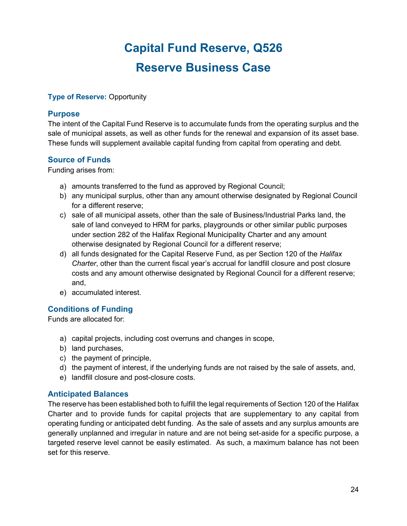# **Capital Fund Reserve, Q526 Reserve Business Case**

#### **Type of Reserve: Opportunity**

#### **Purpose**

The intent of the Capital Fund Reserve is to accumulate funds from the operating surplus and the sale of municipal assets, as well as other funds for the renewal and expansion of its asset base. These funds will supplement available capital funding from capital from operating and debt.

#### **Source of Funds**

Funding arises from:

- a) amounts transferred to the fund as approved by Regional Council;
- b) any municipal surplus, other than any amount otherwise designated by Regional Council for a different reserve;
- c) sale of all municipal assets, other than the sale of Business/Industrial Parks land, the sale of land conveyed to HRM for parks, playgrounds or other similar public purposes under section 282 of the Halifax Regional Municipality Charter and any amount otherwise designated by Regional Council for a different reserve;
- d) all funds designated for the Capital Reserve Fund, as per Section 120 of the *Halifax Charter*, other than the current fiscal year's accrual for landfill closure and post closure costs and any amount otherwise designated by Regional Council for a different reserve; and,
- e) accumulated interest.

### **Conditions of Funding**

Funds are allocated for:

- a) capital projects, including cost overruns and changes in scope,
- b) land purchases,
- c) the payment of principle,
- d) the payment of interest, if the underlying funds are not raised by the sale of assets, and,
- e) landfill closure and post-closure costs.

#### **Anticipated Balances**

The reserve has been established both to fulfill the legal requirements of Section 120 of the Halifax Charter and to provide funds for capital projects that are supplementary to any capital from operating funding or anticipated debt funding. As the sale of assets and any surplus amounts are generally unplanned and irregular in nature and are not being set-aside for a specific purpose, a targeted reserve level cannot be easily estimated. As such, a maximum balance has not been set for this reserve.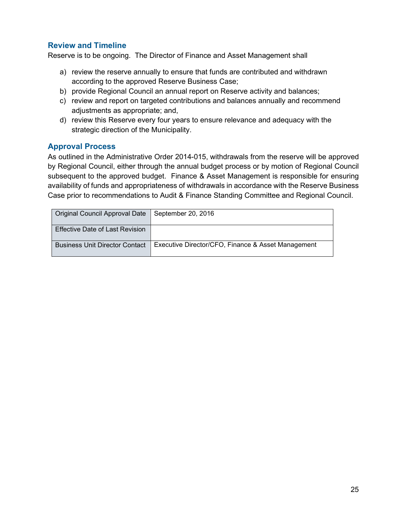### **Review and Timeline**

Reserve is to be ongoing. The Director of Finance and Asset Management shall

- a) review the reserve annually to ensure that funds are contributed and withdrawn according to the approved Reserve Business Case;
- b) provide Regional Council an annual report on Reserve activity and balances;
- c) review and report on targeted contributions and balances annually and recommend adjustments as appropriate; and,
- d) review this Reserve every four years to ensure relevance and adequacy with the strategic direction of the Municipality.

#### **Approval Process**

| Original Council Approval Date   September 20, 2016 |                                                    |
|-----------------------------------------------------|----------------------------------------------------|
| Effective Date of Last Revision                     |                                                    |
| <b>Business Unit Director Contact</b>               | Executive Director/CFO, Finance & Asset Management |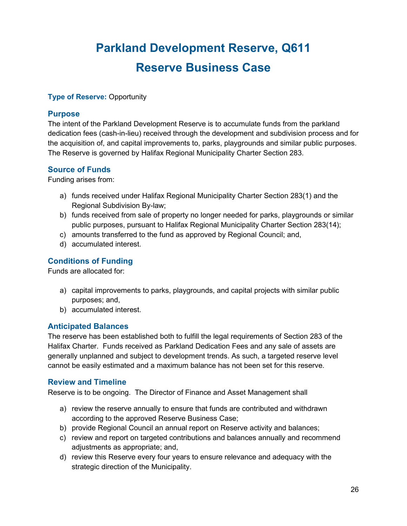# **Parkland Development Reserve, Q611 Reserve Business Case**

#### **Type of Reserve: Opportunity**

#### **Purpose**

The intent of the Parkland Development Reserve is to accumulate funds from the parkland dedication fees (cash-in-lieu) received through the development and subdivision process and for the acquisition of, and capital improvements to, parks, playgrounds and similar public purposes. The Reserve is governed by Halifax Regional Municipality Charter Section 283.

#### **Source of Funds**

Funding arises from:

- a) funds received under Halifax Regional Municipality Charter Section 283(1) and the Regional Subdivision By-law;
- b) funds received from sale of property no longer needed for parks, playgrounds or similar public purposes, pursuant to Halifax Regional Municipality Charter Section 283(14);
- c) amounts transferred to the fund as approved by Regional Council; and,
- d) accumulated interest.

#### **Conditions of Funding**

Funds are allocated for:

- a) capital improvements to parks, playgrounds, and capital projects with similar public purposes; and,
- b) accumulated interest.

#### **Anticipated Balances**

The reserve has been established both to fulfill the legal requirements of Section 283 of the Halifax Charter. Funds received as Parkland Dedication Fees and any sale of assets are generally unplanned and subject to development trends. As such, a targeted reserve level cannot be easily estimated and a maximum balance has not been set for this reserve.

#### **Review and Timeline**

Reserve is to be ongoing. The Director of Finance and Asset Management shall

- a) review the reserve annually to ensure that funds are contributed and withdrawn according to the approved Reserve Business Case;
- b) provide Regional Council an annual report on Reserve activity and balances;
- c) review and report on targeted contributions and balances annually and recommend adjustments as appropriate; and,
- d) review this Reserve every four years to ensure relevance and adequacy with the strategic direction of the Municipality.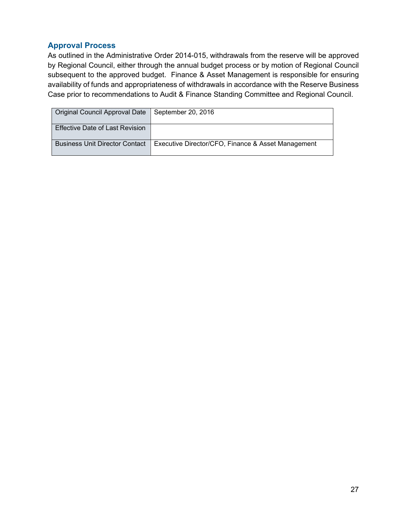| Original Council Approval Date         | September 20, 2016                                 |
|----------------------------------------|----------------------------------------------------|
| <b>Effective Date of Last Revision</b> |                                                    |
| <b>Business Unit Director Contact</b>  | Executive Director/CFO, Finance & Asset Management |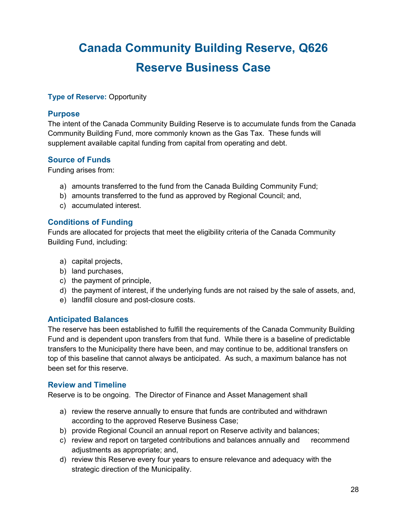# **Canada Community Building Reserve, Q626 Reserve Business Case**

#### **Type of Reserve: Opportunity**

#### **Purpose**

The intent of the Canada Community Building Reserve is to accumulate funds from the Canada Community Building Fund, more commonly known as the Gas Tax. These funds will supplement available capital funding from capital from operating and debt.

#### **Source of Funds**

Funding arises from:

- a) amounts transferred to the fund from the Canada Building Community Fund;
- b) amounts transferred to the fund as approved by Regional Council; and,
- c) accumulated interest.

#### **Conditions of Funding**

Funds are allocated for projects that meet the eligibility criteria of the Canada Community Building Fund, including:

- a) capital projects,
- b) land purchases,
- c) the payment of principle,
- d) the payment of interest, if the underlying funds are not raised by the sale of assets, and,
- e) landfill closure and post-closure costs.

#### **Anticipated Balances**

The reserve has been established to fulfill the requirements of the Canada Community Building Fund and is dependent upon transfers from that fund. While there is a baseline of predictable transfers to the Municipality there have been, and may continue to be, additional transfers on top of this baseline that cannot always be anticipated. As such, a maximum balance has not been set for this reserve.

#### **Review and Timeline**

Reserve is to be ongoing. The Director of Finance and Asset Management shall

- a) review the reserve annually to ensure that funds are contributed and withdrawn according to the approved Reserve Business Case;
- b) provide Regional Council an annual report on Reserve activity and balances;
- c) review and report on targeted contributions and balances annually and recommend adjustments as appropriate; and,
- d) review this Reserve every four years to ensure relevance and adequacy with the strategic direction of the Municipality.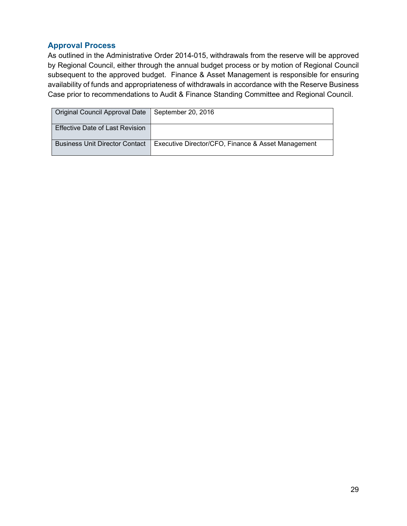| Original Council Approval Date        | September 20, 2016                                 |
|---------------------------------------|----------------------------------------------------|
| Effective Date of Last Revision       |                                                    |
| <b>Business Unit Director Contact</b> | Executive Director/CFO, Finance & Asset Management |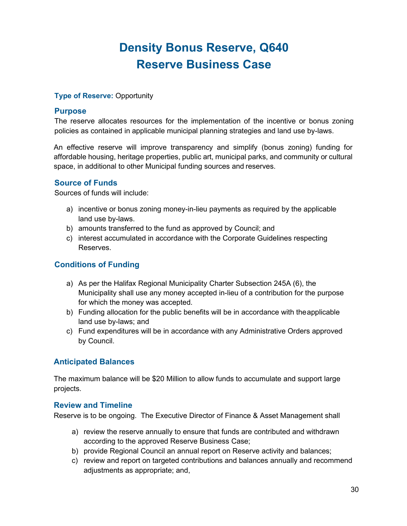# **Density Bonus Reserve, Q640 Reserve Business Case**

#### **Type of Reserve:** Opportunity

#### **Purpose**

The reserve allocates resources for the implementation of the incentive or bonus zoning policies as contained in applicable municipal planning strategies and land use by-laws.

An effective reserve will improve transparency and simplify (bonus zoning) funding for affordable housing, heritage properties, public art, municipal parks, and community or cultural space, in additional to other Municipal funding sources and reserves.

#### **Source of Funds**

Sources of funds will include:

- a) incentive or bonus zoning money-in-lieu payments as required by the applicable land use by-laws.
- b) amounts transferred to the fund as approved by Council; and
- c) interest accumulated in accordance with the Corporate Guidelines respecting Reserves.

#### **Conditions of Funding**

- a) As per the Halifax Regional Municipality Charter Subsection 245A (6), the Municipality shall use any money accepted in-lieu of a contribution for the purpose for which the money was accepted.
- b) Funding allocation for the public benefits will be in accordance with theapplicable land use by-laws; and
- c) Fund expenditures will be in accordance with any Administrative Orders approved by Council.

#### **Anticipated Balances**

The maximum balance will be \$20 Million to allow funds to accumulate and support large projects.

#### **Review and Timeline**

Reserve is to be ongoing. The Executive Director of Finance & Asset Management shall

- a) review the reserve annually to ensure that funds are contributed and withdrawn according to the approved Reserve Business Case;
- b) provide Regional Council an annual report on Reserve activity and balances;
- c) review and report on targeted contributions and balances annually and recommend adjustments as appropriate; and,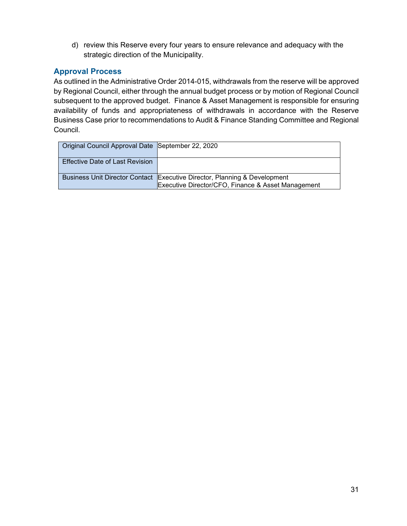d) review this Reserve every four years to ensure relevance and adequacy with the strategic direction of the Municipality.

### **Approval Process**

| Original Council Approval Date September 22, 2020 |                                                                                                                                 |
|---------------------------------------------------|---------------------------------------------------------------------------------------------------------------------------------|
| <b>Effective Date of Last Revision</b>            |                                                                                                                                 |
|                                                   | Business Unit Director Contact Executive Director, Planning & Development<br>Executive Director/CFO, Finance & Asset Management |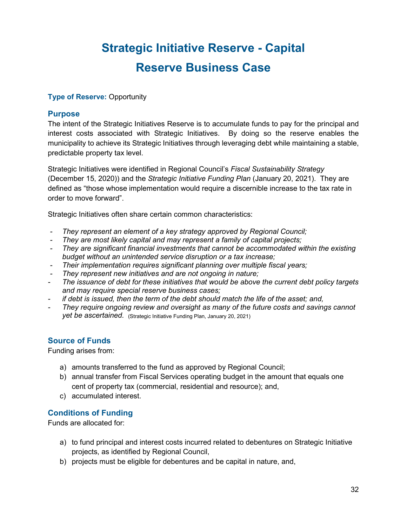# **Strategic Initiative Reserve - Capital Reserve Business Case**

#### **Type of Reserve: Opportunity**

#### **Purpose**

The intent of the Strategic Initiatives Reserve is to accumulate funds to pay for the principal and interest costs associated with Strategic Initiatives. By doing so the reserve enables the municipality to achieve its Strategic Initiatives through leveraging debt while maintaining a stable, predictable property tax level.

Strategic Initiatives were identified in Regional Council's *Fiscal Sustainability Strategy* (December 15, 2020)) and the *Strategic Initiative Funding Plan* (January 20, 2021). They are defined as "those whose implementation would require a discernible increase to the tax rate in order to move forward".

Strategic Initiatives often share certain common characteristics:

- *- They represent an element of a key strategy approved by Regional Council;*
- *- They are most likely capital and may represent a family of capital projects;*
- *- They are significant financial investments that cannot be accommodated within the existing budget without an unintended service disruption or a tax increase;*
- *- Their implementation requires significant planning over multiple fiscal years;*
- *- They represent new initiatives and are not ongoing in nature;*
- *- The issuance of debt for these initiatives that would be above the current debt policy targets and may require special reserve business cases;*
- *- if debt is issued, then the term of the debt should match the life of the asset; and,*
- *- They require ongoing review and oversight as many of the future costs and savings cannot*  **yet be ascertained.** (Strategic Initiative Funding Plan, January 20, 2021)

#### **Source of Funds**

Funding arises from:

- a) amounts transferred to the fund as approved by Regional Council;
- b) annual transfer from Fiscal Services operating budget in the amount that equals one cent of property tax (commercial, residential and resource); and,
- c) accumulated interest.

#### **Conditions of Funding**

Funds are allocated for:

- a) to fund principal and interest costs incurred related to debentures on Strategic Initiative projects, as identified by Regional Council,
- b) projects must be eligible for debentures and be capital in nature, and,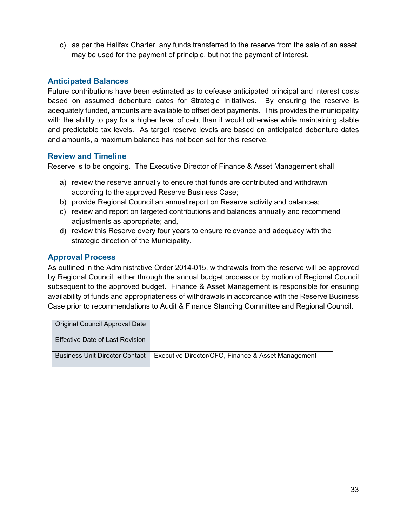c) as per the Halifax Charter, any funds transferred to the reserve from the sale of an asset may be used for the payment of principle, but not the payment of interest.

#### **Anticipated Balances**

Future contributions have been estimated as to defease anticipated principal and interest costs based on assumed debenture dates for Strategic Initiatives. By ensuring the reserve is adequately funded, amounts are available to offset debt payments. This provides the municipality with the ability to pay for a higher level of debt than it would otherwise while maintaining stable and predictable tax levels. As target reserve levels are based on anticipated debenture dates and amounts, a maximum balance has not been set for this reserve.

#### **Review and Timeline**

Reserve is to be ongoing. The Executive Director of Finance & Asset Management shall

- a) review the reserve annually to ensure that funds are contributed and withdrawn according to the approved Reserve Business Case;
- b) provide Regional Council an annual report on Reserve activity and balances;
- c) review and report on targeted contributions and balances annually and recommend adjustments as appropriate; and,
- d) review this Reserve every four years to ensure relevance and adequacy with the strategic direction of the Municipality.

#### **Approval Process**

| Original Council Approval Date        |                                                     |
|---------------------------------------|-----------------------------------------------------|
| Effective Date of Last Revision       |                                                     |
| <b>Business Unit Director Contact</b> | LExecutive Director/CFO, Finance & Asset Management |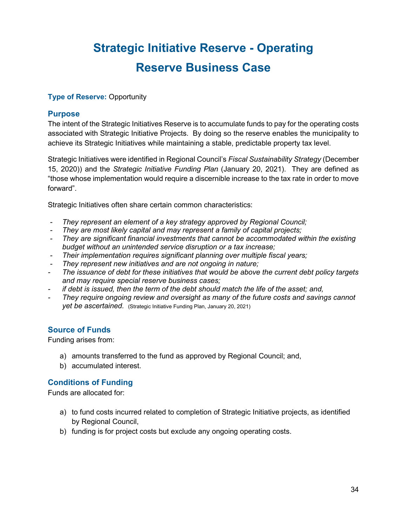# **Strategic Initiative Reserve - Operating Reserve Business Case**

#### **Type of Reserve: Opportunity**

#### **Purpose**

The intent of the Strategic Initiatives Reserve is to accumulate funds to pay for the operating costs associated with Strategic Initiative Projects. By doing so the reserve enables the municipality to achieve its Strategic Initiatives while maintaining a stable, predictable property tax level.

Strategic Initiatives were identified in Regional Council's *Fiscal Sustainability Strategy* (December 15, 2020)) and the *Strategic Initiative Funding Plan* (January 20, 2021). They are defined as "those whose implementation would require a discernible increase to the tax rate in order to move forward".

Strategic Initiatives often share certain common characteristics:

- *- They represent an element of a key strategy approved by Regional Council;*
- *- They are most likely capital and may represent a family of capital projects;*
- *- They are significant financial investments that cannot be accommodated within the existing budget without an unintended service disruption or a tax increase;*
- *- Their implementation requires significant planning over multiple fiscal years;*
- *- They represent new initiatives and are not ongoing in nature;*
- *- The issuance of debt for these initiatives that would be above the current debt policy targets and may require special reserve business cases;*
- *- if debt is issued, then the term of the debt should match the life of the asset; and,*
- *- They require ongoing review and oversight as many of the future costs and savings cannot*  **yet be ascertained.** (Strategic Initiative Funding Plan, January 20, 2021)

#### **Source of Funds**

Funding arises from:

- a) amounts transferred to the fund as approved by Regional Council; and,
- b) accumulated interest.

#### **Conditions of Funding**

Funds are allocated for:

- a) to fund costs incurred related to completion of Strategic Initiative projects, as identified by Regional Council,
- b) funding is for project costs but exclude any ongoing operating costs.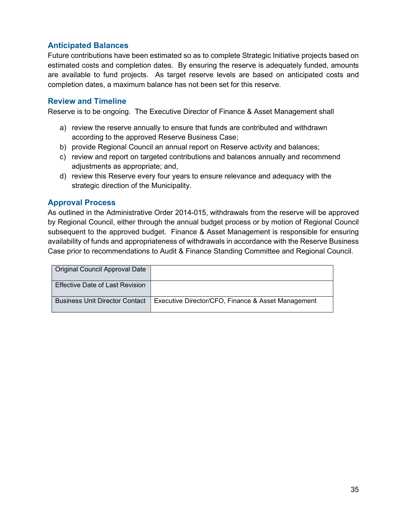#### **Anticipated Balances**

Future contributions have been estimated so as to complete Strategic Initiative projects based on estimated costs and completion dates. By ensuring the reserve is adequately funded, amounts are available to fund projects. As target reserve levels are based on anticipated costs and completion dates, a maximum balance has not been set for this reserve.

#### **Review and Timeline**

Reserve is to be ongoing. The Executive Director of Finance & Asset Management shall

- a) review the reserve annually to ensure that funds are contributed and withdrawn according to the approved Reserve Business Case;
- b) provide Regional Council an annual report on Reserve activity and balances;
- c) review and report on targeted contributions and balances annually and recommend adjustments as appropriate; and,
- d) review this Reserve every four years to ensure relevance and adequacy with the strategic direction of the Municipality.

#### **Approval Process**

| Original Council Approval Date        |                                                     |
|---------------------------------------|-----------------------------------------------------|
| Effective Date of Last Revision       |                                                     |
| <b>Business Unit Director Contact</b> | LExecutive Director/CFO, Finance & Asset Management |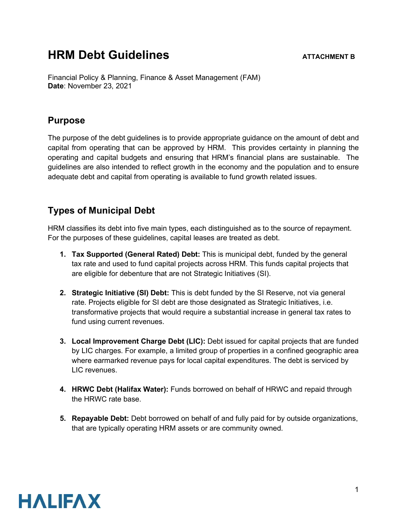# **HRM Debt Guidelines ATTACHMENT B**

Financial Policy & Planning, Finance & Asset Management (FAM) **Date**: November 23, 2021

### **Purpose**

The purpose of the debt guidelines is to provide appropriate guidance on the amount of debt and capital from operating that can be approved by HRM. This provides certainty in planning the operating and capital budgets and ensuring that HRM's financial plans are sustainable. The guidelines are also intended to reflect growth in the economy and the population and to ensure adequate debt and capital from operating is available to fund growth related issues.

### **Types of Municipal Debt**

HRM classifies its debt into five main types, each distinguished as to the source of repayment. For the purposes of these guidelines, capital leases are treated as debt.

- **1. Tax Supported (General Rated) Debt:** This is municipal debt, funded by the general tax rate and used to fund capital projects across HRM. This funds capital projects that are eligible for debenture that are not Strategic Initiatives (SI).
- **2. Strategic Initiative (SI) Debt:** This is debt funded by the SI Reserve, not via general rate. Projects eligible for SI debt are those designated as Strategic Initiatives, i.e. transformative projects that would require a substantial increase in general tax rates to fund using current revenues.
- **3. Local Improvement Charge Debt (LIC):** Debt issued for capital projects that are funded by LIC charges. For example, a limited group of properties in a confined geographic area where earmarked revenue pays for local capital expenditures. The debt is serviced by LIC revenues.
- **4. HRWC Debt (Halifax Water):** Funds borrowed on behalf of HRWC and repaid through the HRWC rate base.
- **5. Repayable Debt:** Debt borrowed on behalf of and fully paid for by outside organizations, that are typically operating HRM assets or are community owned.

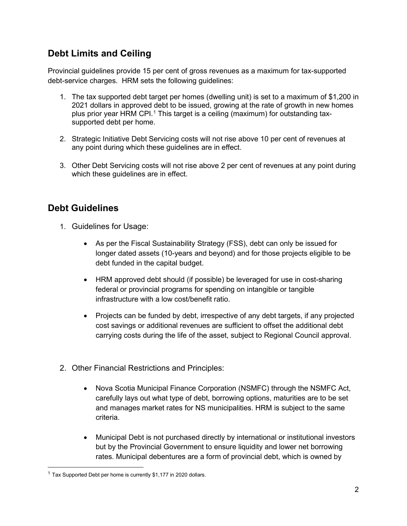# **Debt Limits and Ceiling**

Provincial guidelines provide 15 per cent of gross revenues as a maximum for tax-supported debt-service charges. HRM sets the following guidelines:

- 1. The tax supported debt target per homes (dwelling unit) is set to a maximum of \$1,200 in 2021 dollars in approved debt to be issued, growing at the rate of growth in new homes plus prior year HRM CPI.[1](#page-47-0) This target is a ceiling (maximum) for outstanding taxsupported debt per home.
- 2. Strategic Initiative Debt Servicing costs will not rise above 10 per cent of revenues at any point during which these guidelines are in effect.
- 3. Other Debt Servicing costs will not rise above 2 per cent of revenues at any point during which these guidelines are in effect.

## **Debt Guidelines**

- 1. Guidelines for Usage:
	- As per the Fiscal Sustainability Strategy (FSS), debt can only be issued for longer dated assets (10-years and beyond) and for those projects eligible to be debt funded in the capital budget.
	- HRM approved debt should (if possible) be leveraged for use in cost-sharing federal or provincial programs for spending on intangible or tangible infrastructure with a low cost/benefit ratio.
	- Projects can be funded by debt, irrespective of any debt targets, if any projected cost savings or additional revenues are sufficient to offset the additional debt carrying costs during the life of the asset, subject to Regional Council approval.
- 2. Other Financial Restrictions and Principles:
	- Nova Scotia Municipal Finance Corporation (NSMFC) through the NSMFC Act, carefully lays out what type of debt, borrowing options, maturities are to be set and manages market rates for NS municipalities. HRM is subject to the same criteria.
	- Municipal Debt is not purchased directly by international or institutional investors but by the Provincial Government to ensure liquidity and lower net borrowing rates. Municipal debentures are a form of provincial debt, which is owned by

<span id="page-47-0"></span> $1$  Tax Supported Debt per home is currently \$1,177 in 2020 dollars.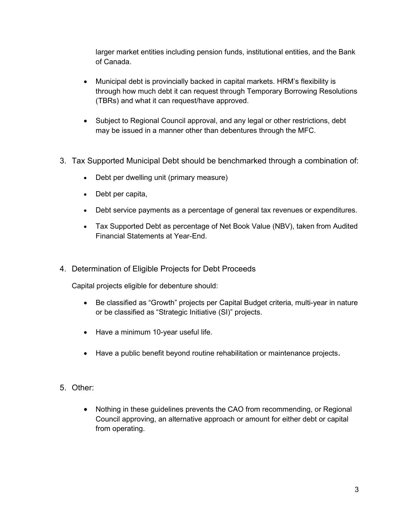larger market entities including pension funds, institutional entities, and the Bank of Canada.

- Municipal debt is provincially backed in capital markets. HRM's flexibility is through how much debt it can request through Temporary Borrowing Resolutions (TBRs) and what it can request/have approved.
- Subject to Regional Council approval, and any legal or other restrictions, debt may be issued in a manner other than debentures through the MFC.
- 3. Tax Supported Municipal Debt should be benchmarked through a combination of:
	- Debt per dwelling unit (primary measure)
	- Debt per capita,
	- Debt service payments as a percentage of general tax revenues or expenditures.
	- Tax Supported Debt as percentage of Net Book Value (NBV), taken from Audited Financial Statements at Year-End.
- 4. Determination of Eligible Projects for Debt Proceeds

Capital projects eligible for debenture should:

- Be classified as "Growth" projects per Capital Budget criteria, multi-year in nature or be classified as "Strategic Initiative (SI)" projects.
- Have a minimum 10-year useful life.
- Have a public benefit beyond routine rehabilitation or maintenance projects.
- 5. Other:
	- Nothing in these guidelines prevents the CAO from recommending, or Regional Council approving, an alternative approach or amount for either debt or capital from operating.